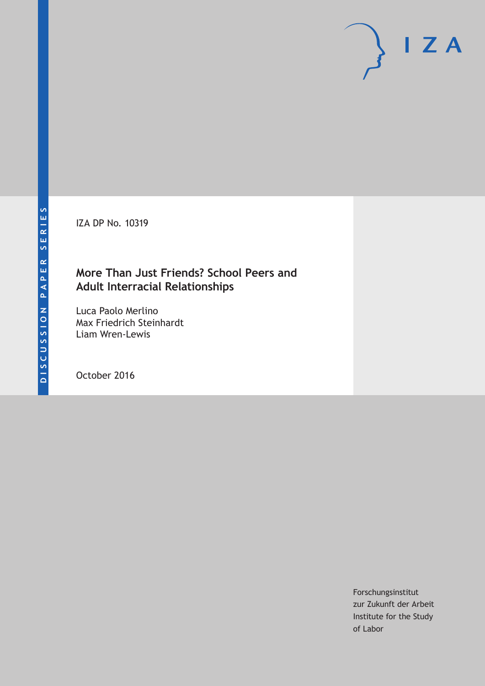IZA DP No. 10319

# **More Than Just Friends? School Peers and Adult Interracial Relationships**

Luca Paolo Merlino Max Friedrich Steinhardt Liam Wren-Lewis

October 2016

Forschungsinstitut zur Zukunft der Arbeit Institute for the Study of Labor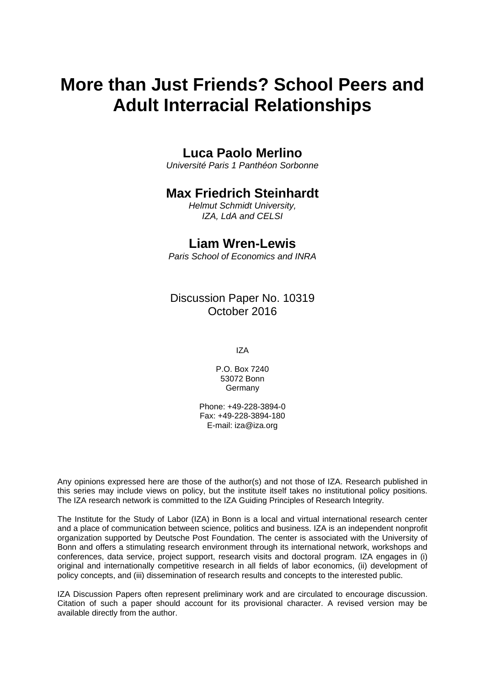# **More than Just Friends? School Peers and Adult Interracial Relationships**

# **Luca Paolo Merlino**

*Université Paris 1 Panthéon Sorbonne* 

# **Max Friedrich Steinhardt**

*Helmut Schmidt University, IZA, LdA and CELSI* 

### **Liam Wren-Lewis**

*Paris School of Economics and INRA*

### Discussion Paper No. 10319 October 2016

IZA

P.O. Box 7240 53072 Bonn Germany

Phone: +49-228-3894-0 Fax: +49-228-3894-180 E-mail: iza@iza.org

Any opinions expressed here are those of the author(s) and not those of IZA. Research published in this series may include views on policy, but the institute itself takes no institutional policy positions. The IZA research network is committed to the IZA Guiding Principles of Research Integrity.

The Institute for the Study of Labor (IZA) in Bonn is a local and virtual international research center and a place of communication between science, politics and business. IZA is an independent nonprofit organization supported by Deutsche Post Foundation. The center is associated with the University of Bonn and offers a stimulating research environment through its international network, workshops and conferences, data service, project support, research visits and doctoral program. IZA engages in (i) original and internationally competitive research in all fields of labor economics, (ii) development of policy concepts, and (iii) dissemination of research results and concepts to the interested public.

IZA Discussion Papers often represent preliminary work and are circulated to encourage discussion. Citation of such a paper should account for its provisional character. A revised version may be available directly from the author.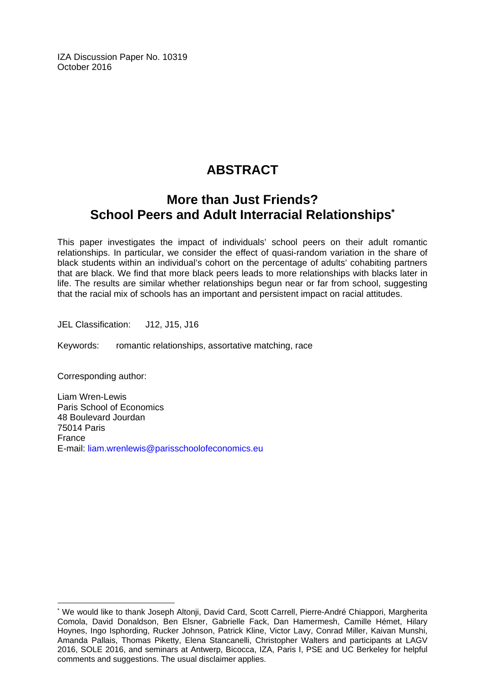IZA Discussion Paper No. 10319 October 2016

# **ABSTRACT**

# **More than Just Friends? School Peers and Adult Interracial Relationships\***

This paper investigates the impact of individuals' school peers on their adult romantic relationships. In particular, we consider the effect of quasi-random variation in the share of black students within an individual's cohort on the percentage of adults' cohabiting partners that are black. We find that more black peers leads to more relationships with blacks later in life. The results are similar whether relationships begun near or far from school, suggesting that the racial mix of schools has an important and persistent impact on racial attitudes.

JEL Classification: J12, J15, J16

Keywords: romantic relationships, assortative matching, race

Corresponding author:

 $\overline{a}$ 

Liam Wren-Lewis Paris School of Economics 48 Boulevard Jourdan 75014 Paris France E-mail: liam.wrenlewis@parisschoolofeconomics.eu

<sup>\*</sup> We would like to thank Joseph Altonji, David Card, Scott Carrell, Pierre-André Chiappori, Margherita Comola, David Donaldson, Ben Elsner, Gabrielle Fack, Dan Hamermesh, Camille Hémet, Hilary Hoynes, Ingo Isphording, Rucker Johnson, Patrick Kline, Victor Lavy, Conrad Miller, Kaivan Munshi, Amanda Pallais, Thomas Piketty, Elena Stancanelli, Christopher Walters and participants at LAGV 2016, SOLE 2016, and seminars at Antwerp, Bicocca, IZA, Paris I, PSE and UC Berkeley for helpful comments and suggestions. The usual disclaimer applies.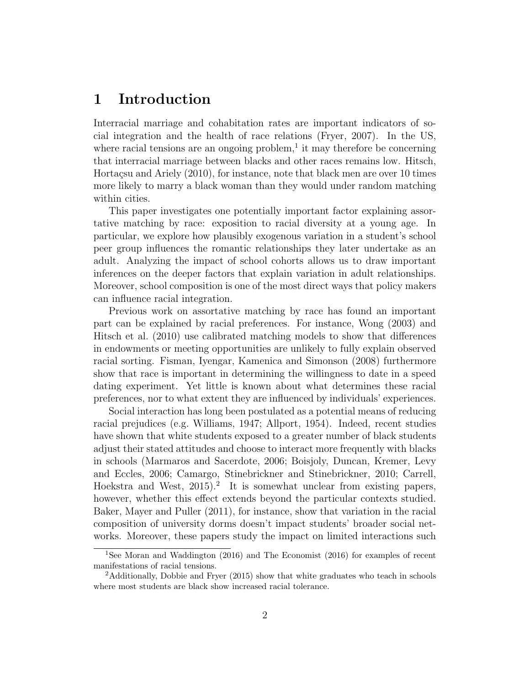## 1 Introduction

Interracial marriage and cohabitation rates are important indicators of social integration and the health of race relations (Fryer, 2007). In the US, where racial tensions are an ongoing problem, $<sup>1</sup>$  it may therefore be concerning</sup> that interracial marriage between blacks and other races remains low. Hitsch, Hortaçsu and Ariely (2010), for instance, note that black men are over 10 times more likely to marry a black woman than they would under random matching within cities.

This paper investigates one potentially important factor explaining assortative matching by race: exposition to racial diversity at a young age. In particular, we explore how plausibly exogenous variation in a student's school peer group influences the romantic relationships they later undertake as an adult. Analyzing the impact of school cohorts allows us to draw important inferences on the deeper factors that explain variation in adult relationships. Moreover, school composition is one of the most direct ways that policy makers can influence racial integration.

Previous work on assortative matching by race has found an important part can be explained by racial preferences. For instance, Wong (2003) and Hitsch et al. (2010) use calibrated matching models to show that differences in endowments or meeting opportunities are unlikely to fully explain observed racial sorting. Fisman, Iyengar, Kamenica and Simonson (2008) furthermore show that race is important in determining the willingness to date in a speed dating experiment. Yet little is known about what determines these racial preferences, nor to what extent they are influenced by individuals' experiences.

Social interaction has long been postulated as a potential means of reducing racial prejudices (e.g. Williams, 1947; Allport, 1954). Indeed, recent studies have shown that white students exposed to a greater number of black students adjust their stated attitudes and choose to interact more frequently with blacks in schools (Marmaros and Sacerdote, 2006; Boisjoly, Duncan, Kremer, Levy and Eccles, 2006; Camargo, Stinebrickner and Stinebrickner, 2010; Carrell, Hoekstra and West, 2015).<sup>2</sup> It is somewhat unclear from existing papers, however, whether this effect extends beyond the particular contexts studied. Baker, Mayer and Puller (2011), for instance, show that variation in the racial composition of university dorms doesn't impact students' broader social networks. Moreover, these papers study the impact on limited interactions such

<sup>1</sup>See Moran and Waddington (2016) and The Economist (2016) for examples of recent manifestations of racial tensions.

<sup>2</sup>Additionally, Dobbie and Fryer (2015) show that white graduates who teach in schools where most students are black show increased racial tolerance.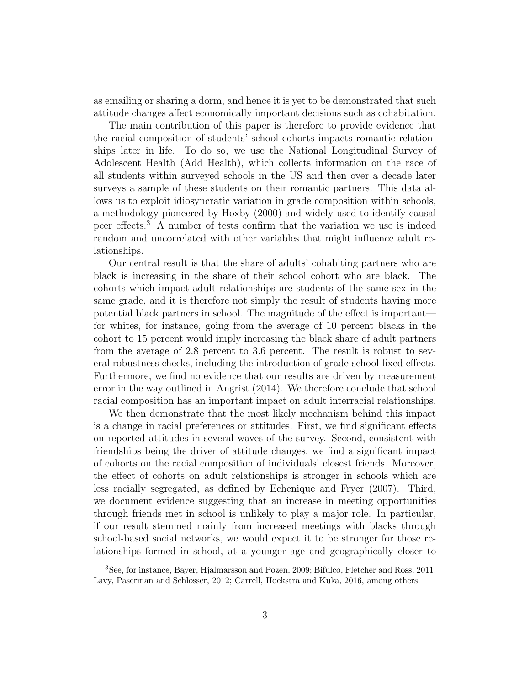as emailing or sharing a dorm, and hence it is yet to be demonstrated that such attitude changes affect economically important decisions such as cohabitation.

The main contribution of this paper is therefore to provide evidence that the racial composition of students' school cohorts impacts romantic relationships later in life. To do so, we use the National Longitudinal Survey of Adolescent Health (Add Health), which collects information on the race of all students within surveyed schools in the US and then over a decade later surveys a sample of these students on their romantic partners. This data allows us to exploit idiosyncratic variation in grade composition within schools, a methodology pioneered by Hoxby (2000) and widely used to identify causal peer effects.<sup>3</sup> A number of tests confirm that the variation we use is indeed random and uncorrelated with other variables that might influence adult relationships.

Our central result is that the share of adults' cohabiting partners who are black is increasing in the share of their school cohort who are black. The cohorts which impact adult relationships are students of the same sex in the same grade, and it is therefore not simply the result of students having more potential black partners in school. The magnitude of the effect is important for whites, for instance, going from the average of 10 percent blacks in the cohort to 15 percent would imply increasing the black share of adult partners from the average of 2.8 percent to 3.6 percent. The result is robust to several robustness checks, including the introduction of grade-school fixed effects. Furthermore, we find no evidence that our results are driven by measurement error in the way outlined in Angrist (2014). We therefore conclude that school racial composition has an important impact on adult interracial relationships.

We then demonstrate that the most likely mechanism behind this impact is a change in racial preferences or attitudes. First, we find significant effects on reported attitudes in several waves of the survey. Second, consistent with friendships being the driver of attitude changes, we find a significant impact of cohorts on the racial composition of individuals' closest friends. Moreover, the effect of cohorts on adult relationships is stronger in schools which are less racially segregated, as defined by Echenique and Fryer (2007). Third, we document evidence suggesting that an increase in meeting opportunities through friends met in school is unlikely to play a major role. In particular, if our result stemmed mainly from increased meetings with blacks through school-based social networks, we would expect it to be stronger for those relationships formed in school, at a younger age and geographically closer to

<sup>3</sup>See, for instance, Bayer, Hjalmarsson and Pozen, 2009; Bifulco, Fletcher and Ross, 2011; Lavy, Paserman and Schlosser, 2012; Carrell, Hoekstra and Kuka, 2016, among others.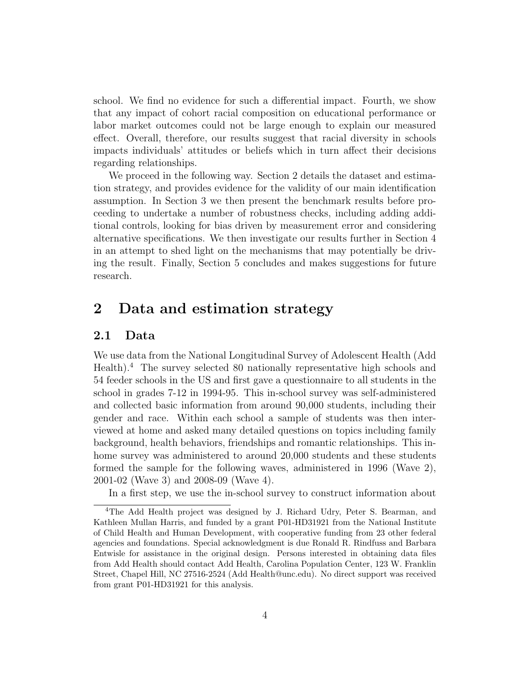school. We find no evidence for such a differential impact. Fourth, we show that any impact of cohort racial composition on educational performance or labor market outcomes could not be large enough to explain our measured effect. Overall, therefore, our results suggest that racial diversity in schools impacts individuals' attitudes or beliefs which in turn affect their decisions regarding relationships.

We proceed in the following way. Section 2 details the dataset and estimation strategy, and provides evidence for the validity of our main identification assumption. In Section 3 we then present the benchmark results before proceeding to undertake a number of robustness checks, including adding additional controls, looking for bias driven by measurement error and considering alternative specifications. We then investigate our results further in Section 4 in an attempt to shed light on the mechanisms that may potentially be driving the result. Finally, Section 5 concludes and makes suggestions for future research.

### 2 Data and estimation strategy

#### 2.1 Data

We use data from the National Longitudinal Survey of Adolescent Health (Add Health).<sup>4</sup> The survey selected 80 nationally representative high schools and 54 feeder schools in the US and first gave a questionnaire to all students in the school in grades 7-12 in 1994-95. This in-school survey was self-administered and collected basic information from around 90,000 students, including their gender and race. Within each school a sample of students was then interviewed at home and asked many detailed questions on topics including family background, health behaviors, friendships and romantic relationships. This inhome survey was administered to around 20,000 students and these students formed the sample for the following waves, administered in 1996 (Wave 2), 2001-02 (Wave 3) and 2008-09 (Wave 4).

In a first step, we use the in-school survey to construct information about

<sup>4</sup>The Add Health project was designed by J. Richard Udry, Peter S. Bearman, and Kathleen Mullan Harris, and funded by a grant P01-HD31921 from the National Institute of Child Health and Human Development, with cooperative funding from 23 other federal agencies and foundations. Special acknowledgment is due Ronald R. Rindfuss and Barbara Entwisle for assistance in the original design. Persons interested in obtaining data files from Add Health should contact Add Health, Carolina Population Center, 123 W. Franklin Street, Chapel Hill, NC 27516-2524 (Add Health@unc.edu). No direct support was received from grant P01-HD31921 for this analysis.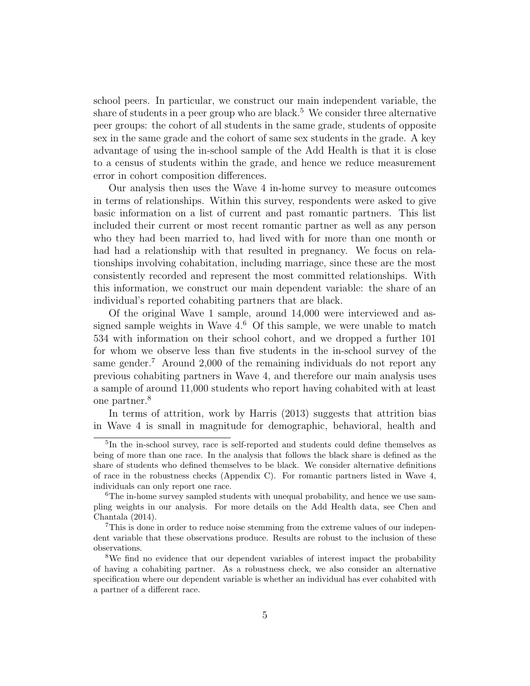school peers. In particular, we construct our main independent variable, the share of students in a peer group who are black.<sup>5</sup> We consider three alternative peer groups: the cohort of all students in the same grade, students of opposite sex in the same grade and the cohort of same sex students in the grade. A key advantage of using the in-school sample of the Add Health is that it is close to a census of students within the grade, and hence we reduce measurement error in cohort composition differences.

Our analysis then uses the Wave 4 in-home survey to measure outcomes in terms of relationships. Within this survey, respondents were asked to give basic information on a list of current and past romantic partners. This list included their current or most recent romantic partner as well as any person who they had been married to, had lived with for more than one month or had had a relationship with that resulted in pregnancy. We focus on relationships involving cohabitation, including marriage, since these are the most consistently recorded and represent the most committed relationships. With this information, we construct our main dependent variable: the share of an individual's reported cohabiting partners that are black.

Of the original Wave 1 sample, around 14,000 were interviewed and assigned sample weights in Wave  $4<sup>6</sup>$  Of this sample, we were unable to match 534 with information on their school cohort, and we dropped a further 101 for whom we observe less than five students in the in-school survey of the same gender.<sup>7</sup> Around 2,000 of the remaining individuals do not report any previous cohabiting partners in Wave 4, and therefore our main analysis uses a sample of around 11,000 students who report having cohabited with at least one partner.<sup>8</sup>

In terms of attrition, work by Harris (2013) suggests that attrition bias in Wave 4 is small in magnitude for demographic, behavioral, health and

<sup>&</sup>lt;sup>5</sup>In the in-school survey, race is self-reported and students could define themselves as being of more than one race. In the analysis that follows the black share is defined as the share of students who defined themselves to be black. We consider alternative definitions of race in the robustness checks (Appendix C). For romantic partners listed in Wave 4, individuals can only report one race.

<sup>&</sup>lt;sup>6</sup>The in-home survey sampled students with unequal probability, and hence we use sampling weights in our analysis. For more details on the Add Health data, see Chen and Chantala (2014).

<sup>7</sup>This is done in order to reduce noise stemming from the extreme values of our independent variable that these observations produce. Results are robust to the inclusion of these observations.

<sup>8</sup>We find no evidence that our dependent variables of interest impact the probability of having a cohabiting partner. As a robustness check, we also consider an alternative specification where our dependent variable is whether an individual has ever cohabited with a partner of a different race.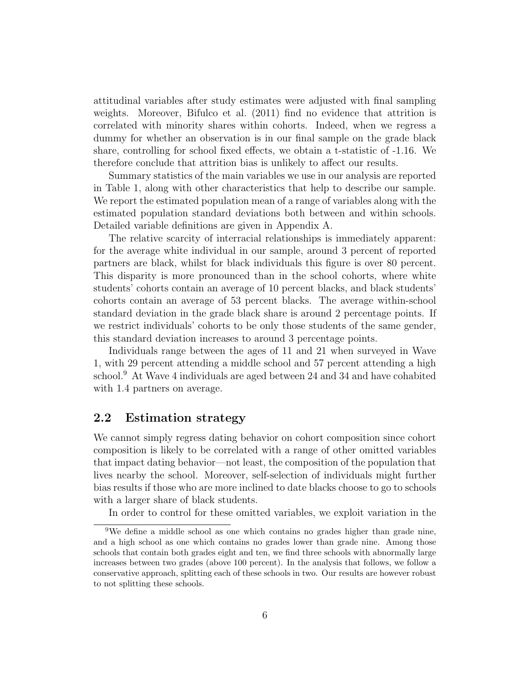attitudinal variables after study estimates were adjusted with final sampling weights. Moreover, Bifulco et al. (2011) find no evidence that attrition is correlated with minority shares within cohorts. Indeed, when we regress a dummy for whether an observation is in our final sample on the grade black share, controlling for school fixed effects, we obtain a t-statistic of -1.16. We therefore conclude that attrition bias is unlikely to affect our results.

Summary statistics of the main variables we use in our analysis are reported in Table 1, along with other characteristics that help to describe our sample. We report the estimated population mean of a range of variables along with the estimated population standard deviations both between and within schools. Detailed variable definitions are given in Appendix A.

The relative scarcity of interracial relationships is immediately apparent: for the average white individual in our sample, around 3 percent of reported partners are black, whilst for black individuals this figure is over 80 percent. This disparity is more pronounced than in the school cohorts, where white students' cohorts contain an average of 10 percent blacks, and black students' cohorts contain an average of 53 percent blacks. The average within-school standard deviation in the grade black share is around 2 percentage points. If we restrict individuals' cohorts to be only those students of the same gender, this standard deviation increases to around 3 percentage points.

Individuals range between the ages of 11 and 21 when surveyed in Wave 1, with 29 percent attending a middle school and 57 percent attending a high school.<sup>9</sup> At Wave 4 individuals are aged between 24 and 34 and have cohabited with 1.4 partners on average.

#### 2.2 Estimation strategy

We cannot simply regress dating behavior on cohort composition since cohort composition is likely to be correlated with a range of other omitted variables that impact dating behavior—not least, the composition of the population that lives nearby the school. Moreover, self-selection of individuals might further bias results if those who are more inclined to date blacks choose to go to schools with a larger share of black students.

In order to control for these omitted variables, we exploit variation in the

<sup>&</sup>lt;sup>9</sup>We define a middle school as one which contains no grades higher than grade nine, and a high school as one which contains no grades lower than grade nine. Among those schools that contain both grades eight and ten, we find three schools with abnormally large increases between two grades (above 100 percent). In the analysis that follows, we follow a conservative approach, splitting each of these schools in two. Our results are however robust to not splitting these schools.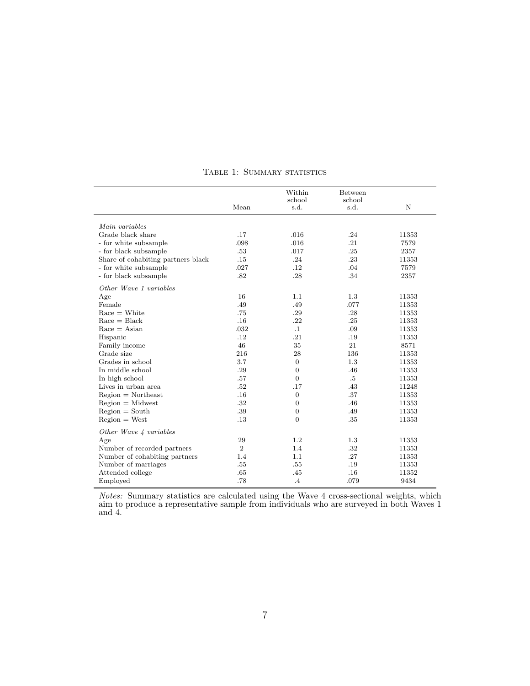|                                    |            | Within           | Between |       |
|------------------------------------|------------|------------------|---------|-------|
|                                    |            | school           | school  |       |
|                                    | Mean       | s.d.             | s.d.    | N     |
|                                    |            |                  |         |       |
| Main variables                     |            |                  |         |       |
| Grade black share                  | .17        | .016             | .24     | 11353 |
| - for white subsample              | .098       | .016             | .21     | 7579  |
| - for black subsample              | .53        | .017             | .25     | 2357  |
| Share of cohabiting partners black | .15        | .24              | .23     | 11353 |
| - for white subsample              | .027       | .12              | .04     | 7579  |
| - for black subsample              | .82        | .28              | .34     | 2357  |
| Other Wave 1 variables             |            |                  |         |       |
| Age                                | 16         | 1.1              | 1.3     | 11353 |
| Female                             | .49        | .49              | .077    | 11353 |
| $Race = White$                     | .75        | .29              | .28     | 11353 |
| $Race = Black$                     | .16        | .22              | .25     | 11353 |
| $Race = Asian$                     | .032       | $\cdot$ 1        | .09     | 11353 |
| Hispanic                           | .12        | .21              | .19     | 11353 |
| Family income                      | 46         | 35               | 21      | 8571  |
| Grade size                         | 216        | 28               | 136     | 11353 |
| Grades in school                   | 3.7        | $\boldsymbol{0}$ | 1.3     | 11353 |
| In middle school                   | .29        | $\boldsymbol{0}$ | .46     | 11353 |
| In high school                     | .57        | $\overline{0}$   | .5      | 11353 |
| Lives in urban area                | .52        | .17              | .43     | 11248 |
| $Region = Northeast$               | .16        | $\mathbf{0}$     | .37     | 11353 |
| $Region = Midwest$                 | .32        | $\overline{0}$   | .46     | 11353 |
| $Region = South$                   | .39        | $\boldsymbol{0}$ | .49     | 11353 |
| $Region = West$                    | .13        | $\boldsymbol{0}$ | .35     | 11353 |
| Other Wave 4 variables             |            |                  |         |       |
| Age                                | 29         | 1.2              | 1.3     | 11353 |
| Number of recorded partners        | $\sqrt{2}$ | 1.4              | .32     | 11353 |
| Number of cohabiting partners      | 1.4        | 1.1              | .27     | 11353 |
| Number of marriages                | .55        | .55              | .19     | 11353 |
| Attended college                   | .65        | .45              | .16     | 11352 |
| Employed                           | .78        | $\cdot$ 4        | .079    | 9434  |

#### TABLE 1: SUMMARY STATISTICS

Notes: Summary statistics are calculated using the Wave 4 cross-sectional weights, which aim to produce a representative sample from individuals who are surveyed in both Waves 1 and 4.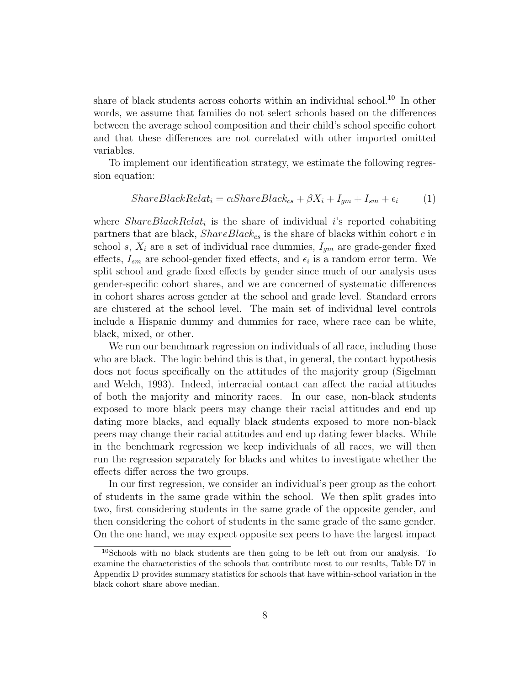share of black students across cohorts within an individual school.<sup>10</sup> In other words, we assume that families do not select schools based on the differences between the average school composition and their child's school specific cohort and that these differences are not correlated with other imported omitted variables.

To implement our identification strategy, we estimate the following regression equation:

$$
ShareBlackRelat_i = \alpha ShareBlack_{cs} + \beta X_i + I_{gm} + I_{sm} + \epsilon_i \tag{1}
$$

where  $ShareBlackRelat_i$  is the share of individual i's reported cohabiting partners that are black,  $ShareBlack_{cs}$  is the share of blacks within cohort c in school s,  $X_i$  are a set of individual race dummies,  $I_{gm}$  are grade-gender fixed effects,  $I_{sm}$  are school-gender fixed effects, and  $\epsilon_i$  is a random error term. We split school and grade fixed effects by gender since much of our analysis uses gender-specific cohort shares, and we are concerned of systematic differences in cohort shares across gender at the school and grade level. Standard errors are clustered at the school level. The main set of individual level controls include a Hispanic dummy and dummies for race, where race can be white, black, mixed, or other.

We run our benchmark regression on individuals of all race, including those who are black. The logic behind this is that, in general, the contact hypothesis does not focus specifically on the attitudes of the majority group (Sigelman and Welch, 1993). Indeed, interracial contact can affect the racial attitudes of both the majority and minority races. In our case, non-black students exposed to more black peers may change their racial attitudes and end up dating more blacks, and equally black students exposed to more non-black peers may change their racial attitudes and end up dating fewer blacks. While in the benchmark regression we keep individuals of all races, we will then run the regression separately for blacks and whites to investigate whether the effects differ across the two groups.

In our first regression, we consider an individual's peer group as the cohort of students in the same grade within the school. We then split grades into two, first considering students in the same grade of the opposite gender, and then considering the cohort of students in the same grade of the same gender. On the one hand, we may expect opposite sex peers to have the largest impact

<sup>10</sup>Schools with no black students are then going to be left out from our analysis. To examine the characteristics of the schools that contribute most to our results, Table D7 in Appendix D provides summary statistics for schools that have within-school variation in the black cohort share above median.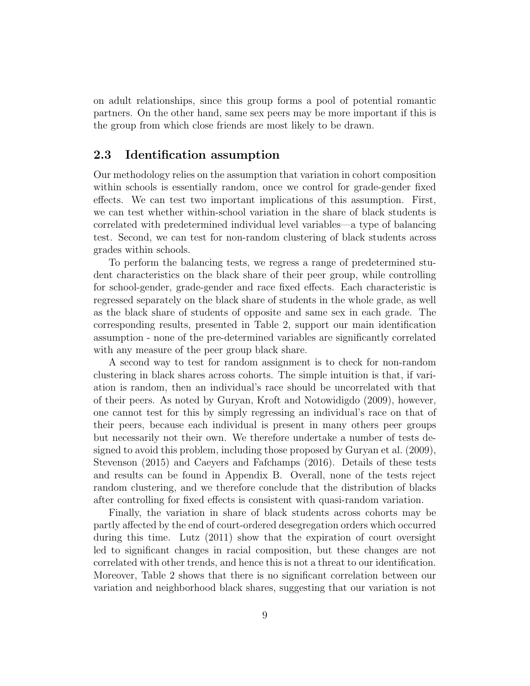on adult relationships, since this group forms a pool of potential romantic partners. On the other hand, same sex peers may be more important if this is the group from which close friends are most likely to be drawn.

#### 2.3 Identification assumption

Our methodology relies on the assumption that variation in cohort composition within schools is essentially random, once we control for grade-gender fixed effects. We can test two important implications of this assumption. First, we can test whether within-school variation in the share of black students is correlated with predetermined individual level variables—a type of balancing test. Second, we can test for non-random clustering of black students across grades within schools.

To perform the balancing tests, we regress a range of predetermined student characteristics on the black share of their peer group, while controlling for school-gender, grade-gender and race fixed effects. Each characteristic is regressed separately on the black share of students in the whole grade, as well as the black share of students of opposite and same sex in each grade. The corresponding results, presented in Table 2, support our main identification assumption - none of the pre-determined variables are significantly correlated with any measure of the peer group black share.

A second way to test for random assignment is to check for non-random clustering in black shares across cohorts. The simple intuition is that, if variation is random, then an individual's race should be uncorrelated with that of their peers. As noted by Guryan, Kroft and Notowidigdo (2009), however, one cannot test for this by simply regressing an individual's race on that of their peers, because each individual is present in many others peer groups but necessarily not their own. We therefore undertake a number of tests designed to avoid this problem, including those proposed by Guryan et al. (2009), Stevenson (2015) and Caeyers and Fafchamps (2016). Details of these tests and results can be found in Appendix B. Overall, none of the tests reject random clustering, and we therefore conclude that the distribution of blacks after controlling for fixed effects is consistent with quasi-random variation.

Finally, the variation in share of black students across cohorts may be partly affected by the end of court-ordered desegregation orders which occurred during this time. Lutz (2011) show that the expiration of court oversight led to significant changes in racial composition, but these changes are not correlated with other trends, and hence this is not a threat to our identification. Moreover, Table 2 shows that there is no significant correlation between our variation and neighborhood black shares, suggesting that our variation is not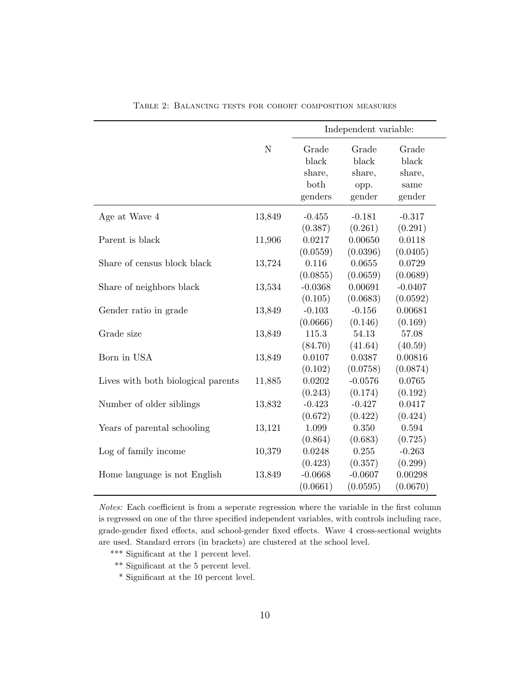|                                    |        | Independent variable: |           |           |  |
|------------------------------------|--------|-----------------------|-----------|-----------|--|
|                                    | N      | Grade                 | Grade     | Grade     |  |
|                                    |        | black                 | black     | black     |  |
|                                    |        | share,                | share,    | share,    |  |
|                                    |        | both                  | opp.      | same      |  |
|                                    |        | genders               | gender    | gender    |  |
| Age at Wave 4                      | 13,849 | $-0.455$              | $-0.181$  | $-0.317$  |  |
|                                    |        | (0.387)               | (0.261)   | (0.291)   |  |
| Parent is black                    | 11,906 | 0.0217                | 0.00650   | 0.0118    |  |
|                                    |        | (0.0559)              | (0.0396)  | (0.0405)  |  |
| Share of census block black        | 13,724 | 0.116                 | 0.0655    | 0.0729    |  |
|                                    |        | (0.0855)              | (0.0659)  | (0.0689)  |  |
| Share of neighbors black           | 13,534 | $-0.0368$             | 0.00691   | $-0.0407$ |  |
|                                    |        | (0.105)               | (0.0683)  | (0.0592)  |  |
| Gender ratio in grade              | 13,849 | $-0.103$              | $-0.156$  | 0.00681   |  |
|                                    |        | (0.0666)              | (0.146)   | (0.169)   |  |
| Grade size                         | 13,849 | 115.3                 | 54.13     | 57.08     |  |
|                                    |        | (84.70)               | (41.64)   | (40.59)   |  |
| Born in USA                        | 13,849 | 0.0107                | 0.0387    | 0.00816   |  |
|                                    |        | (0.102)               | (0.0758)  | (0.0874)  |  |
| Lives with both biological parents | 11,885 | 0.0202                | $-0.0576$ | 0.0765    |  |
|                                    |        | (0.243)               | (0.174)   | (0.192)   |  |
| Number of older siblings           | 13,832 | $-0.423$              | $-0.427$  | 0.0417    |  |
|                                    |        | (0.672)               | (0.422)   | (0.424)   |  |
| Years of parental schooling        | 13,121 | 1.099                 | 0.350     | 0.594     |  |
|                                    |        | (0.864)               | (0.683)   | (0.725)   |  |
| Log of family income               | 10,379 | 0.0248                | 0.255     | $-0.263$  |  |
|                                    |        | (0.423)               | (0.357)   | (0.299)   |  |
| Home language is not English       | 13,849 | $-0.0668$             | $-0.0607$ | 0.00298   |  |
|                                    |        | (0.0661)              | (0.0595)  | (0.0670)  |  |

Table 2: Balancing tests for cohort composition measures

Notes: Each coefficient is from a seperate regression where the variable in the first column is regressed on one of the three specified independent variables, with controls including race, grade-gender fixed effects, and school-gender fixed effects. Wave 4 cross-sectional weights are used. Standard errors (in brackets) are clustered at the school level.

- \*\*\* Significant at the 1 percent level.
- \*\* Significant at the 5 percent level.
- \* Significant at the 10 percent level.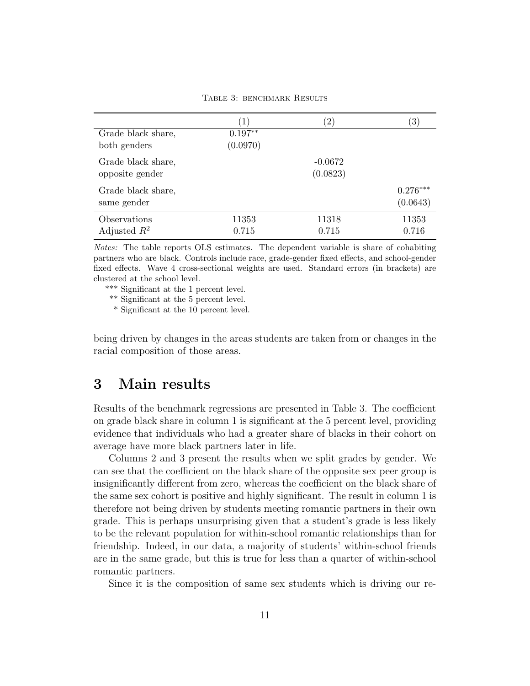TABLE 3: BENCHMARK RESULTS

|                    | $\left( 1\right)$ | $^{\prime}2)$ | $\left( 3\right)$ |
|--------------------|-------------------|---------------|-------------------|
| Grade black share, | $0.197**$         |               |                   |
| both genders       | (0.0970)          |               |                   |
| Grade black share, |                   | $-0.0672$     |                   |
| opposite gender    |                   | (0.0823)      |                   |
| Grade black share, |                   |               | $0.276***$        |
| same gender        |                   |               | (0.0643)          |
| Observations       | 11353             | 11318         | 11353             |
| Adjusted $R^2$     | 0.715             | 0.715         | 0.716             |

Notes: The table reports OLS estimates. The dependent variable is share of cohabiting partners who are black. Controls include race, grade-gender fixed effects, and school-gender fixed effects. Wave 4 cross-sectional weights are used. Standard errors (in brackets) are clustered at the school level.

\*\*\* Significant at the 1 percent level.

\*\* Significant at the 5 percent level.

\* Significant at the 10 percent level.

being driven by changes in the areas students are taken from or changes in the racial composition of those areas.

# 3 Main results

Results of the benchmark regressions are presented in Table 3. The coefficient on grade black share in column 1 is significant at the 5 percent level, providing evidence that individuals who had a greater share of blacks in their cohort on average have more black partners later in life.

Columns 2 and 3 present the results when we split grades by gender. We can see that the coefficient on the black share of the opposite sex peer group is insignificantly different from zero, whereas the coefficient on the black share of the same sex cohort is positive and highly significant. The result in column 1 is therefore not being driven by students meeting romantic partners in their own grade. This is perhaps unsurprising given that a student's grade is less likely to be the relevant population for within-school romantic relationships than for friendship. Indeed, in our data, a majority of students' within-school friends are in the same grade, but this is true for less than a quarter of within-school romantic partners.

Since it is the composition of same sex students which is driving our re-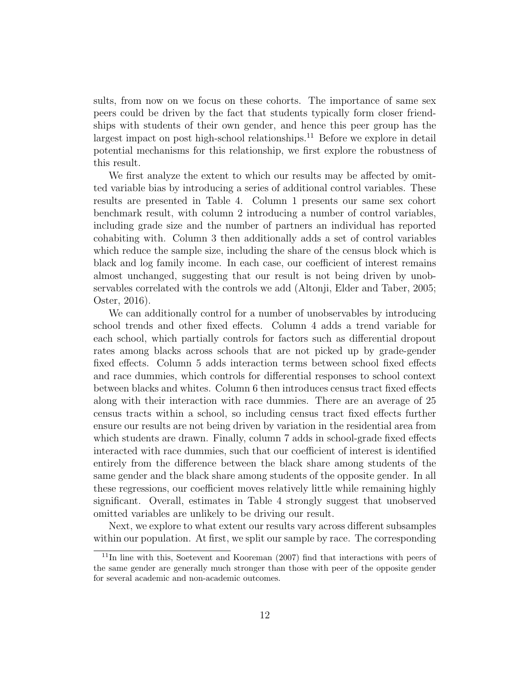sults, from now on we focus on these cohorts. The importance of same sex peers could be driven by the fact that students typically form closer friendships with students of their own gender, and hence this peer group has the largest impact on post high-school relationships.<sup>11</sup> Before we explore in detail potential mechanisms for this relationship, we first explore the robustness of this result.

We first analyze the extent to which our results may be affected by omitted variable bias by introducing a series of additional control variables. These results are presented in Table 4. Column 1 presents our same sex cohort benchmark result, with column 2 introducing a number of control variables, including grade size and the number of partners an individual has reported cohabiting with. Column 3 then additionally adds a set of control variables which reduce the sample size, including the share of the census block which is black and log family income. In each case, our coefficient of interest remains almost unchanged, suggesting that our result is not being driven by unobservables correlated with the controls we add (Altonji, Elder and Taber, 2005; Oster, 2016).

We can additionally control for a number of unobservables by introducing school trends and other fixed effects. Column 4 adds a trend variable for each school, which partially controls for factors such as differential dropout rates among blacks across schools that are not picked up by grade-gender fixed effects. Column 5 adds interaction terms between school fixed effects and race dummies, which controls for differential responses to school context between blacks and whites. Column 6 then introduces census tract fixed effects along with their interaction with race dummies. There are an average of 25 census tracts within a school, so including census tract fixed effects further ensure our results are not being driven by variation in the residential area from which students are drawn. Finally, column 7 adds in school-grade fixed effects interacted with race dummies, such that our coefficient of interest is identified entirely from the difference between the black share among students of the same gender and the black share among students of the opposite gender. In all these regressions, our coefficient moves relatively little while remaining highly significant. Overall, estimates in Table 4 strongly suggest that unobserved omitted variables are unlikely to be driving our result.

Next, we explore to what extent our results vary across different subsamples within our population. At first, we split our sample by race. The corresponding

<sup>11</sup>In line with this, Soetevent and Kooreman (2007) find that interactions with peers of the same gender are generally much stronger than those with peer of the opposite gender for several academic and non-academic outcomes.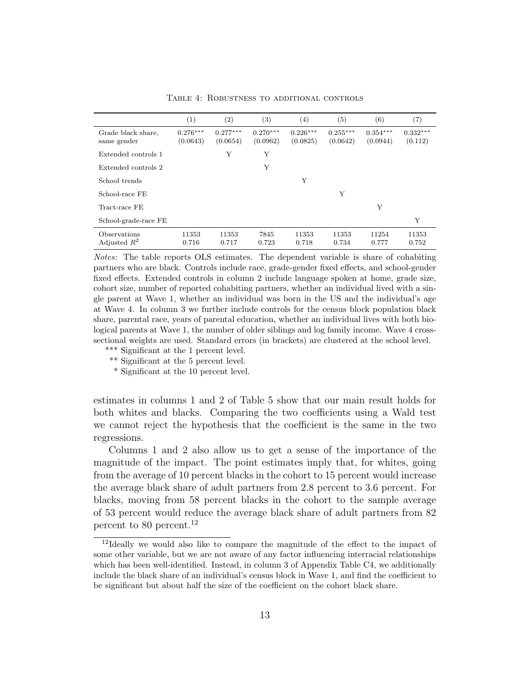|                                       | $\scriptstyle{(1)}$    | $\left( 2\right)$      | $^{(3)}$               | $\left( 4\right)$      | (5)                    | (6)                    | (7)                   |
|---------------------------------------|------------------------|------------------------|------------------------|------------------------|------------------------|------------------------|-----------------------|
| Grade black share,<br>same gender     | $0.276***$<br>(0.0643) | $0.277***$<br>(0.0654) | $0.270***$<br>(0.0962) | $0.226***$<br>(0.0825) | $0.255***$<br>(0.0642) | $0.354***$<br>(0.0944) | $0.332***$<br>(0.112) |
| Extended controls 1                   |                        | Υ                      | Υ                      |                        |                        |                        |                       |
| Extended controls 2                   |                        |                        | Υ                      |                        |                        |                        |                       |
| School trends                         |                        |                        |                        | Υ                      |                        |                        |                       |
| School-race FE                        |                        |                        |                        |                        | Υ                      |                        |                       |
| Tract-race FE                         |                        |                        |                        |                        |                        | Υ                      |                       |
| School-grade-race FE                  |                        |                        |                        |                        |                        |                        | Y                     |
| <b>Observations</b><br>Adjusted $R^2$ | 11353<br>0.716         | 11353<br>0.717         | 7845<br>0.723          | 11353<br>0.718         | 11353<br>0.734         | 11254<br>0.777         | 11353<br>0.752        |

Table 4: Robustness to additional controls

Notes: The table reports OLS estimates. The dependent variable is share of cohabiting partners who are black. Controls include race, grade-gender fixed effects, and school-gender fixed effects. Extended controls in column 2 include language spoken at home, grade size, cohort size, number of reported cohabiting partners, whether an individual lived with a single parent at Wave 1, whether an individual was born in the US and the individual's age at Wave 4. In column 3 we further include controls for the census block population black share, parental race, years of parental education, whether an individual lives with both biological parents at Wave 1, the number of older siblings and log family income. Wave 4 crosssectional weights are used. Standard errors (in brackets) are clustered at the school level.

- \*\*\* Significant at the 1 percent level.
- \*\* Significant at the 5 percent level.

\* Significant at the 10 percent level.

estimates in columns 1 and 2 of Table 5 show that our main result holds for both whites and blacks. Comparing the two coefficients using a Wald test we cannot reject the hypothesis that the coefficient is the same in the two regressions.

Columns 1 and 2 also allow us to get a sense of the importance of the magnitude of the impact. The point estimates imply that, for whites, going from the average of 10 percent blacks in the cohort to 15 percent would increase the average black share of adult partners from 2.8 percent to 3.6 percent. For blacks, moving from 58 percent blacks in the cohort to the sample average of 53 percent would reduce the average black share of adult partners from 82 percent to 80 percent.<sup>12</sup>

<sup>12</sup>Ideally we would also like to compare the magnitude of the effect to the impact of some other variable, but we are not aware of any factor influencing interracial relationships which has been well-identified. Instead, in column 3 of Appendix Table C4, we additionally include the black share of an individual's census block in Wave 1, and find the coefficient to be significant but about half the size of the coefficient on the cohort black share.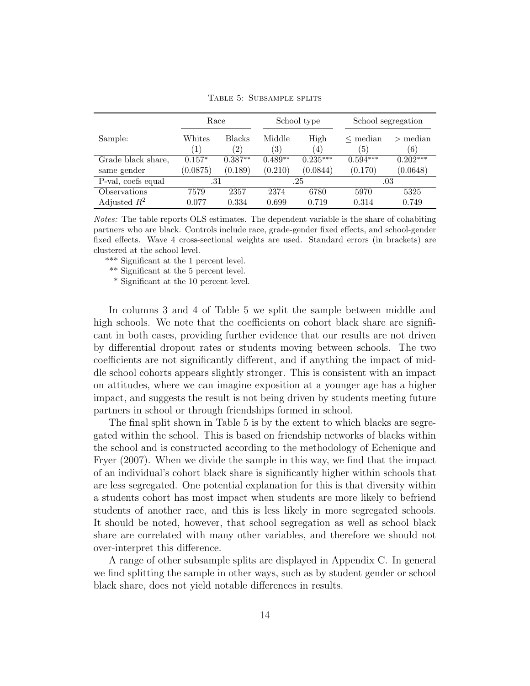|                    | Race                       |                                | School type                 |             | School segregation  |                   |
|--------------------|----------------------------|--------------------------------|-----------------------------|-------------|---------------------|-------------------|
| Sample:            | Whites<br>$\left(1\right)$ | <b>Blacks</b><br>$^{\prime}2)$ | Middle<br>$\left( 3\right)$ | High<br>(4) | $\leq$ median<br>5) | $>$ median<br>(6) |
| Grade black share, | $0.157*$                   | $0.387**$                      | $0.489**$                   | $0.235***$  | $0.594***$          | $0.202***$        |
| same gender        | (0.0875)                   | (0.189)                        | (0.210)                     | (0.0844)    | (0.170)             | (0.0648)          |
| P-val, coefs equal | .31                        |                                | .25                         |             | .03                 |                   |
| Observations       | 7579                       | 2357                           | 2374                        | 6780        | 5970                | 5325              |
| Adjusted $R^2$     | 0.077                      | 0.334                          | 0.699                       | 0.719       | 0.314               | 0.749             |

Table 5: Subsample splits

Notes: The table reports OLS estimates. The dependent variable is the share of cohabiting partners who are black. Controls include race, grade-gender fixed effects, and school-gender fixed effects. Wave 4 cross-sectional weights are used. Standard errors (in brackets) are clustered at the school level.

\*\*\* Significant at the 1 percent level.

\*\* Significant at the 5 percent level.

\* Significant at the 10 percent level.

In columns 3 and 4 of Table 5 we split the sample between middle and high schools. We note that the coefficients on cohort black share are significant in both cases, providing further evidence that our results are not driven by differential dropout rates or students moving between schools. The two coefficients are not significantly different, and if anything the impact of middle school cohorts appears slightly stronger. This is consistent with an impact on attitudes, where we can imagine exposition at a younger age has a higher impact, and suggests the result is not being driven by students meeting future partners in school or through friendships formed in school.

The final split shown in Table 5 is by the extent to which blacks are segregated within the school. This is based on friendship networks of blacks within the school and is constructed according to the methodology of Echenique and Fryer (2007). When we divide the sample in this way, we find that the impact of an individual's cohort black share is significantly higher within schools that are less segregated. One potential explanation for this is that diversity within a students cohort has most impact when students are more likely to befriend students of another race, and this is less likely in more segregated schools. It should be noted, however, that school segregation as well as school black share are correlated with many other variables, and therefore we should not over-interpret this difference.

A range of other subsample splits are displayed in Appendix C. In general we find splitting the sample in other ways, such as by student gender or school black share, does not yield notable differences in results.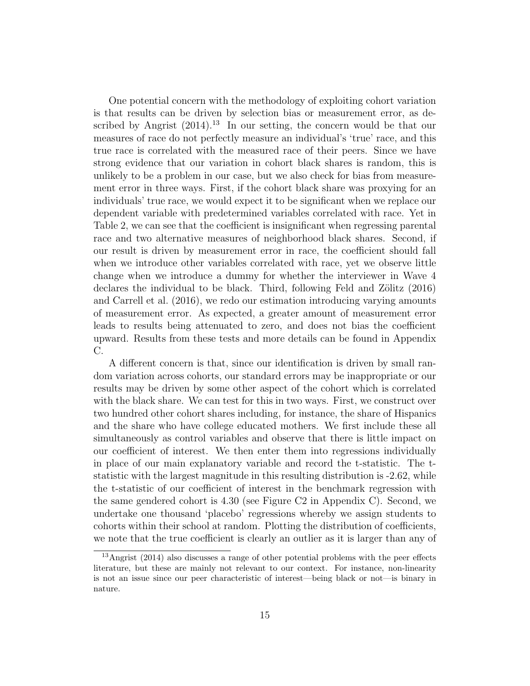One potential concern with the methodology of exploiting cohort variation is that results can be driven by selection bias or measurement error, as described by Angrist  $(2014).^{13}$  In our setting, the concern would be that our measures of race do not perfectly measure an individual's 'true' race, and this true race is correlated with the measured race of their peers. Since we have strong evidence that our variation in cohort black shares is random, this is unlikely to be a problem in our case, but we also check for bias from measurement error in three ways. First, if the cohort black share was proxying for an individuals' true race, we would expect it to be significant when we replace our dependent variable with predetermined variables correlated with race. Yet in Table 2, we can see that the coefficient is insignificant when regressing parental race and two alternative measures of neighborhood black shares. Second, if our result is driven by measurement error in race, the coefficient should fall when we introduce other variables correlated with race, yet we observe little change when we introduce a dummy for whether the interviewer in Wave 4 declares the individual to be black. Third, following Feld and Zölitz (2016) and Carrell et al. (2016), we redo our estimation introducing varying amounts of measurement error. As expected, a greater amount of measurement error leads to results being attenuated to zero, and does not bias the coefficient upward. Results from these tests and more details can be found in Appendix C.

A different concern is that, since our identification is driven by small random variation across cohorts, our standard errors may be inappropriate or our results may be driven by some other aspect of the cohort which is correlated with the black share. We can test for this in two ways. First, we construct over two hundred other cohort shares including, for instance, the share of Hispanics and the share who have college educated mothers. We first include these all simultaneously as control variables and observe that there is little impact on our coefficient of interest. We then enter them into regressions individually in place of our main explanatory variable and record the t-statistic. The tstatistic with the largest magnitude in this resulting distribution is -2.62, while the t-statistic of our coefficient of interest in the benchmark regression with the same gendered cohort is 4.30 (see Figure C2 in Appendix C). Second, we undertake one thousand 'placebo' regressions whereby we assign students to cohorts within their school at random. Plotting the distribution of coefficients, we note that the true coefficient is clearly an outlier as it is larger than any of

<sup>13</sup>Angrist (2014) also discusses a range of other potential problems with the peer effects literature, but these are mainly not relevant to our context. For instance, non-linearity is not an issue since our peer characteristic of interest—being black or not—is binary in nature.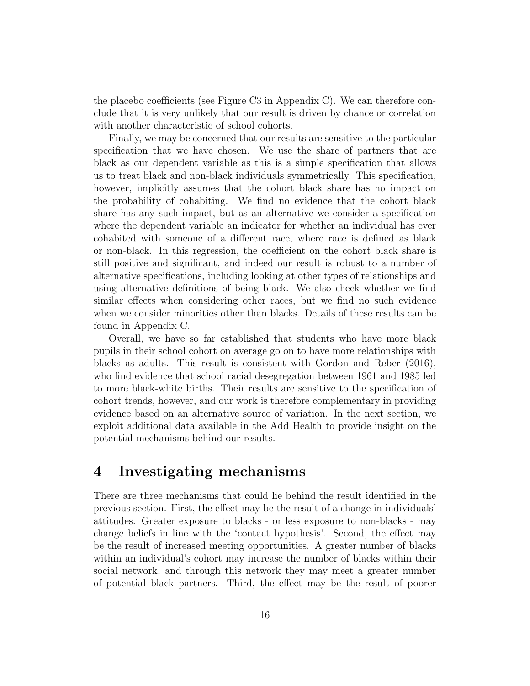the placebo coefficients (see Figure C3 in Appendix C). We can therefore conclude that it is very unlikely that our result is driven by chance or correlation with another characteristic of school cohorts.

Finally, we may be concerned that our results are sensitive to the particular specification that we have chosen. We use the share of partners that are black as our dependent variable as this is a simple specification that allows us to treat black and non-black individuals symmetrically. This specification, however, implicitly assumes that the cohort black share has no impact on the probability of cohabiting. We find no evidence that the cohort black share has any such impact, but as an alternative we consider a specification where the dependent variable an indicator for whether an individual has ever cohabited with someone of a different race, where race is defined as black or non-black. In this regression, the coefficient on the cohort black share is still positive and significant, and indeed our result is robust to a number of alternative specifications, including looking at other types of relationships and using alternative definitions of being black. We also check whether we find similar effects when considering other races, but we find no such evidence when we consider minorities other than blacks. Details of these results can be found in Appendix C.

Overall, we have so far established that students who have more black pupils in their school cohort on average go on to have more relationships with blacks as adults. This result is consistent with Gordon and Reber (2016), who find evidence that school racial desegregation between 1961 and 1985 led to more black-white births. Their results are sensitive to the specification of cohort trends, however, and our work is therefore complementary in providing evidence based on an alternative source of variation. In the next section, we exploit additional data available in the Add Health to provide insight on the potential mechanisms behind our results.

## 4 Investigating mechanisms

There are three mechanisms that could lie behind the result identified in the previous section. First, the effect may be the result of a change in individuals' attitudes. Greater exposure to blacks - or less exposure to non-blacks - may change beliefs in line with the 'contact hypothesis'. Second, the effect may be the result of increased meeting opportunities. A greater number of blacks within an individual's cohort may increase the number of blacks within their social network, and through this network they may meet a greater number of potential black partners. Third, the effect may be the result of poorer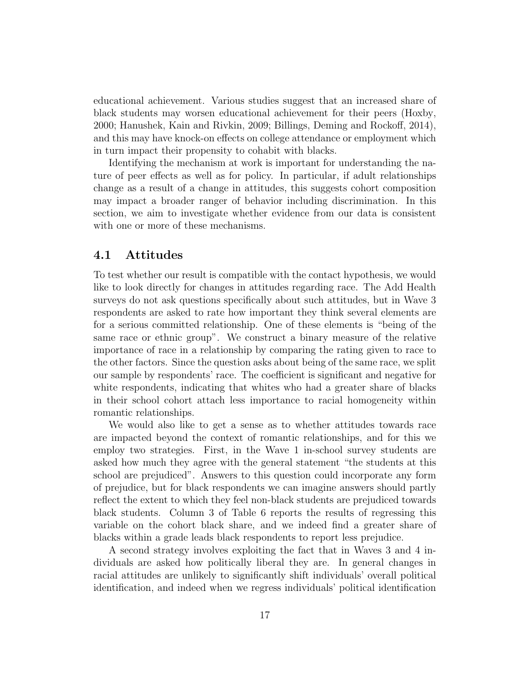educational achievement. Various studies suggest that an increased share of black students may worsen educational achievement for their peers (Hoxby, 2000; Hanushek, Kain and Rivkin, 2009; Billings, Deming and Rockoff, 2014), and this may have knock-on effects on college attendance or employment which in turn impact their propensity to cohabit with blacks.

Identifying the mechanism at work is important for understanding the nature of peer effects as well as for policy. In particular, if adult relationships change as a result of a change in attitudes, this suggests cohort composition may impact a broader ranger of behavior including discrimination. In this section, we aim to investigate whether evidence from our data is consistent with one or more of these mechanisms.

#### 4.1 Attitudes

To test whether our result is compatible with the contact hypothesis, we would like to look directly for changes in attitudes regarding race. The Add Health surveys do not ask questions specifically about such attitudes, but in Wave 3 respondents are asked to rate how important they think several elements are for a serious committed relationship. One of these elements is "being of the same race or ethnic group". We construct a binary measure of the relative importance of race in a relationship by comparing the rating given to race to the other factors. Since the question asks about being of the same race, we split our sample by respondents' race. The coefficient is significant and negative for white respondents, indicating that whites who had a greater share of blacks in their school cohort attach less importance to racial homogeneity within romantic relationships.

We would also like to get a sense as to whether attitudes towards race are impacted beyond the context of romantic relationships, and for this we employ two strategies. First, in the Wave 1 in-school survey students are asked how much they agree with the general statement "the students at this school are prejudiced". Answers to this question could incorporate any form of prejudice, but for black respondents we can imagine answers should partly reflect the extent to which they feel non-black students are prejudiced towards black students. Column 3 of Table 6 reports the results of regressing this variable on the cohort black share, and we indeed find a greater share of blacks within a grade leads black respondents to report less prejudice.

A second strategy involves exploiting the fact that in Waves 3 and 4 individuals are asked how politically liberal they are. In general changes in racial attitudes are unlikely to significantly shift individuals' overall political identification, and indeed when we regress individuals' political identification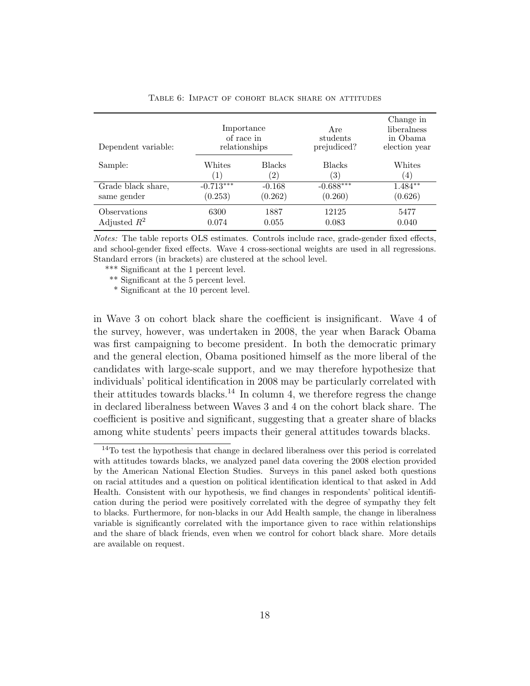| Dependent variable:                          | Importance<br>of race in<br>relationships |                                   | Are<br>students<br>prejudiced?     | Change in<br>liberalness<br>in Obama<br>election year |  |
|----------------------------------------------|-------------------------------------------|-----------------------------------|------------------------------------|-------------------------------------------------------|--|
| Sample:                                      | Whites<br>(1)                             | <b>Blacks</b><br>$\left(2\right)$ | <b>Blacks</b><br>$\left( 3\right)$ | Whites<br>$\left(4\right)$                            |  |
| Grade black share,                           | $-0.713***$                               | $-0.168$                          | $-0.688***$                        | $1.484**$                                             |  |
| same gender                                  | (0.253)                                   | (0.262)                           | (0.260)                            | (0.626)                                               |  |
| <i><b>Observations</b></i><br>Adjusted $R^2$ | 6300<br>0.074                             | 1887<br>0.055                     | 12125<br>0.083                     | 5477<br>0.040                                         |  |

Table 6: Impact of cohort black share on attitudes

Notes: The table reports OLS estimates. Controls include race, grade-gender fixed effects, and school-gender fixed effects. Wave 4 cross-sectional weights are used in all regressions. Standard errors (in brackets) are clustered at the school level.

\*\*\* Significant at the 1 percent level.

\*\* Significant at the 5 percent level.

\* Significant at the 10 percent level.

in Wave 3 on cohort black share the coefficient is insignificant. Wave 4 of the survey, however, was undertaken in 2008, the year when Barack Obama was first campaigning to become president. In both the democratic primary and the general election, Obama positioned himself as the more liberal of the candidates with large-scale support, and we may therefore hypothesize that individuals' political identification in 2008 may be particularly correlated with their attitudes towards blacks.<sup>14</sup> In column 4, we therefore regress the change in declared liberalness between Waves 3 and 4 on the cohort black share. The coefficient is positive and significant, suggesting that a greater share of blacks among white students' peers impacts their general attitudes towards blacks.

<sup>&</sup>lt;sup>14</sup>To test the hypothesis that change in declared liberalness over this period is correlated with attitudes towards blacks, we analyzed panel data covering the 2008 election provided by the American National Election Studies. Surveys in this panel asked both questions on racial attitudes and a question on political identification identical to that asked in Add Health. Consistent with our hypothesis, we find changes in respondents' political identification during the period were positively correlated with the degree of sympathy they felt to blacks. Furthermore, for non-blacks in our Add Health sample, the change in liberalness variable is significantly correlated with the importance given to race within relationships and the share of black friends, even when we control for cohort black share. More details are available on request.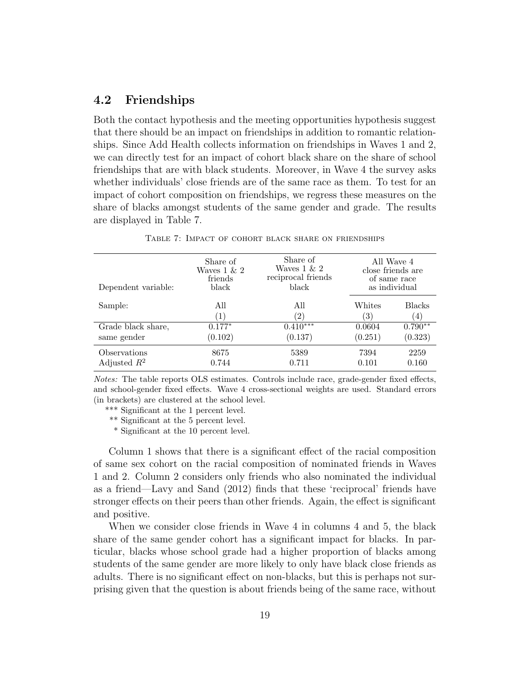#### 4.2 Friendships

Both the contact hypothesis and the meeting opportunities hypothesis suggest that there should be an impact on friendships in addition to romantic relationships. Since Add Health collects information on friendships in Waves 1 and 2, we can directly test for an impact of cohort black share on the share of school friendships that are with black students. Moreover, in Wave 4 the survey asks whether individuals' close friends are of the same race as them. To test for an impact of cohort composition on friendships, we regress these measures on the share of blacks amongst students of the same gender and grade. The results are displayed in Table 7.

| Dependent variable:            | Share of<br>Waves $1 \& 2$<br>friends<br>black | Share of<br>Waves $1 \& 2$<br>reciprocal friends<br>black | All Wave 4<br>close friends are<br>of same race<br>as individual |                      |
|--------------------------------|------------------------------------------------|-----------------------------------------------------------|------------------------------------------------------------------|----------------------|
| Sample:                        | All<br>$\left(1\right)$                        | All<br>$\left( 2\right)$                                  | Whites<br>$\left( 3\right)$                                      | <b>Blacks</b><br>(4) |
| Grade black share,             | $0.177*$                                       | $0.410***$                                                | 0.0604                                                           | $0.790**$            |
| same gender                    | (0.102)                                        | (0.137)                                                   | (0.251)                                                          | (0.323)              |
| Observations<br>Adjusted $R^2$ | 8675<br>0.744                                  | 5389<br>0.711                                             | 7394<br>0.101                                                    | 2259<br>0.160        |
|                                |                                                |                                                           |                                                                  |                      |

Table 7: Impact of cohort black share on friendships

Notes: The table reports OLS estimates. Controls include race, grade-gender fixed effects, and school-gender fixed effects. Wave 4 cross-sectional weights are used. Standard errors (in brackets) are clustered at the school level.

\*\*\* Significant at the 1 percent level.

\*\* Significant at the 5 percent level.

\* Significant at the 10 percent level.

Column 1 shows that there is a significant effect of the racial composition of same sex cohort on the racial composition of nominated friends in Waves 1 and 2. Column 2 considers only friends who also nominated the individual as a friend—Lavy and Sand (2012) finds that these 'reciprocal' friends have stronger effects on their peers than other friends. Again, the effect is significant and positive.

When we consider close friends in Wave 4 in columns 4 and 5, the black share of the same gender cohort has a significant impact for blacks. In particular, blacks whose school grade had a higher proportion of blacks among students of the same gender are more likely to only have black close friends as adults. There is no significant effect on non-blacks, but this is perhaps not surprising given that the question is about friends being of the same race, without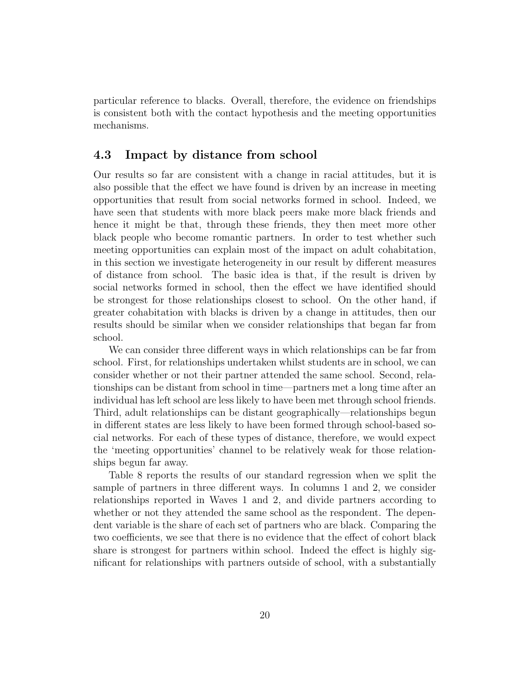particular reference to blacks. Overall, therefore, the evidence on friendships is consistent both with the contact hypothesis and the meeting opportunities mechanisms.

#### 4.3 Impact by distance from school

Our results so far are consistent with a change in racial attitudes, but it is also possible that the effect we have found is driven by an increase in meeting opportunities that result from social networks formed in school. Indeed, we have seen that students with more black peers make more black friends and hence it might be that, through these friends, they then meet more other black people who become romantic partners. In order to test whether such meeting opportunities can explain most of the impact on adult cohabitation, in this section we investigate heterogeneity in our result by different measures of distance from school. The basic idea is that, if the result is driven by social networks formed in school, then the effect we have identified should be strongest for those relationships closest to school. On the other hand, if greater cohabitation with blacks is driven by a change in attitudes, then our results should be similar when we consider relationships that began far from school.

We can consider three different ways in which relationships can be far from school. First, for relationships undertaken whilst students are in school, we can consider whether or not their partner attended the same school. Second, relationships can be distant from school in time—partners met a long time after an individual has left school are less likely to have been met through school friends. Third, adult relationships can be distant geographically—relationships begun in different states are less likely to have been formed through school-based social networks. For each of these types of distance, therefore, we would expect the 'meeting opportunities' channel to be relatively weak for those relationships begun far away.

Table 8 reports the results of our standard regression when we split the sample of partners in three different ways. In columns 1 and 2, we consider relationships reported in Waves 1 and 2, and divide partners according to whether or not they attended the same school as the respondent. The dependent variable is the share of each set of partners who are black. Comparing the two coefficients, we see that there is no evidence that the effect of cohort black share is strongest for partners within school. Indeed the effect is highly significant for relationships with partners outside of school, with a substantially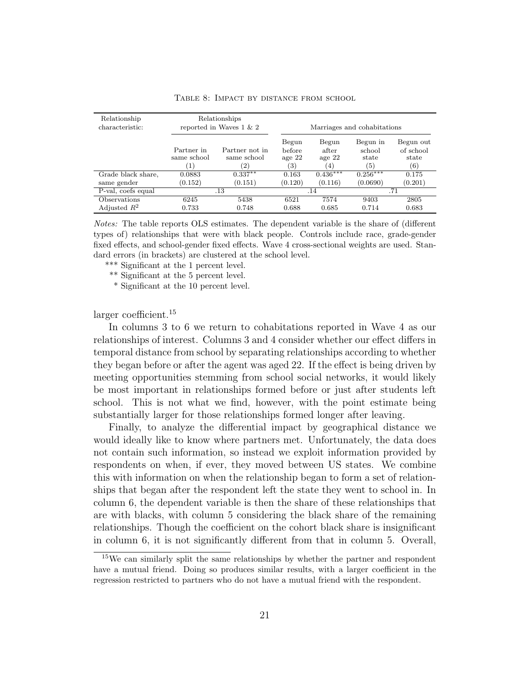| Relationship<br>characteristic: | Relationships<br>reported in Waves $1 \& 2$ |                                                    | Marriages and cohabitations        |                                                 |                                    |                                        |
|---------------------------------|---------------------------------------------|----------------------------------------------------|------------------------------------|-------------------------------------------------|------------------------------------|----------------------------------------|
|                                 | Partner in<br>same school<br>$\mathbf{1}$   | Partner not in<br>same school<br>$\left( 2\right)$ | Begun<br>before<br>age $22$<br>(3) | Begun<br>after<br>age $22$<br>$\left( 4\right)$ | Begun in<br>school<br>state<br>(5) | Begun out<br>of school<br>state<br>(6) |
| Grade black share,              | 0.0883                                      | $0.337**$                                          | 0.163                              | $0.436***$                                      | $0.256***$                         | 0.175                                  |
| same gender                     | (0.152)                                     | (0.151)                                            | (0.120)                            | (0.116)                                         | (0.0690)                           | (0.201)                                |
| P-val, coefs equal              | .13                                         |                                                    |                                    | .14                                             |                                    | .71                                    |
| Observations                    | 6245                                        | 5438                                               | 6521                               | 7574                                            | 9403                               | 2805                                   |
| Adjusted $R^2$                  | 0.733                                       | 0.748                                              | 0.688                              | 0.685                                           | 0.714                              | 0.683                                  |

Table 8: Impact by distance from school

Notes: The table reports OLS estimates. The dependent variable is the share of (different types of) relationships that were with black people. Controls include race, grade-gender fixed effects, and school-gender fixed effects. Wave 4 cross-sectional weights are used. Standard errors (in brackets) are clustered at the school level.

\*\*\* Significant at the 1 percent level.

\*\* Significant at the 5 percent level.

\* Significant at the 10 percent level.

larger coefficient.<sup>15</sup>

In columns 3 to 6 we return to cohabitations reported in Wave 4 as our relationships of interest. Columns 3 and 4 consider whether our effect differs in temporal distance from school by separating relationships according to whether they began before or after the agent was aged 22. If the effect is being driven by meeting opportunities stemming from school social networks, it would likely be most important in relationships formed before or just after students left school. This is not what we find, however, with the point estimate being substantially larger for those relationships formed longer after leaving.

Finally, to analyze the differential impact by geographical distance we would ideally like to know where partners met. Unfortunately, the data does not contain such information, so instead we exploit information provided by respondents on when, if ever, they moved between US states. We combine this with information on when the relationship began to form a set of relationships that began after the respondent left the state they went to school in. In column 6, the dependent variable is then the share of these relationships that are with blacks, with column 5 considering the black share of the remaining relationships. Though the coefficient on the cohort black share is insignificant in column 6, it is not significantly different from that in column 5. Overall,

<sup>&</sup>lt;sup>15</sup>We can similarly split the same relationships by whether the partner and respondent have a mutual friend. Doing so produces similar results, with a larger coefficient in the regression restricted to partners who do not have a mutual friend with the respondent.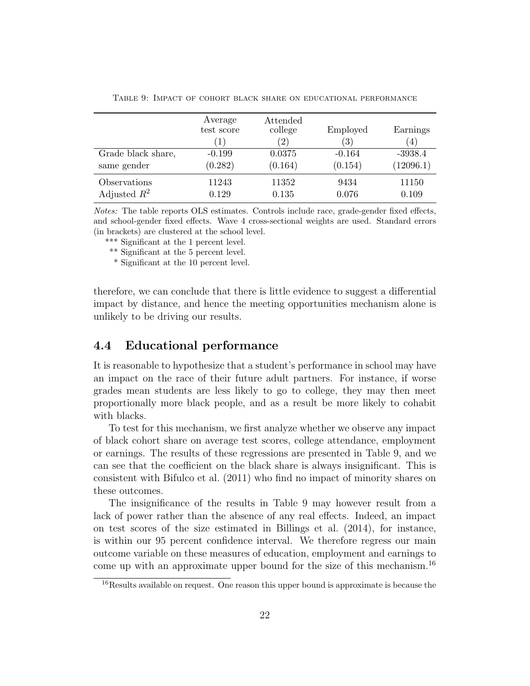|                    | Average<br>test score<br>$\mathbf{1}$ | Attended<br>college<br>$\left( 2\right)$ | Employed<br>$\left( 3\right)$ | Earnings<br>(4) |
|--------------------|---------------------------------------|------------------------------------------|-------------------------------|-----------------|
| Grade black share, | $-0.199$                              | 0.0375                                   | $-0.164$                      | $-3938.4$       |
| same gender        | (0.282)                               | (0.164)                                  | (0.154)                       | (12096.1)       |
| Observations       | 11243                                 | 11352                                    | 9434                          | 11150           |
| Adjusted $R^2$     | 0.129                                 | 0.135                                    | 0.076                         | 0.109           |

Table 9: Impact of cohort black share on educational performance

Notes: The table reports OLS estimates. Controls include race, grade-gender fixed effects, and school-gender fixed effects. Wave 4 cross-sectional weights are used. Standard errors (in brackets) are clustered at the school level.

\*\*\* Significant at the 1 percent level.

\*\* Significant at the 5 percent level.

\* Significant at the 10 percent level.

therefore, we can conclude that there is little evidence to suggest a differential impact by distance, and hence the meeting opportunities mechanism alone is unlikely to be driving our results.

#### 4.4 Educational performance

It is reasonable to hypothesize that a student's performance in school may have an impact on the race of their future adult partners. For instance, if worse grades mean students are less likely to go to college, they may then meet proportionally more black people, and as a result be more likely to cohabit with blacks.

To test for this mechanism, we first analyze whether we observe any impact of black cohort share on average test scores, college attendance, employment or earnings. The results of these regressions are presented in Table 9, and we can see that the coefficient on the black share is always insignificant. This is consistent with Bifulco et al. (2011) who find no impact of minority shares on these outcomes.

The insignificance of the results in Table 9 may however result from a lack of power rather than the absence of any real effects. Indeed, an impact on test scores of the size estimated in Billings et al. (2014), for instance, is within our 95 percent confidence interval. We therefore regress our main outcome variable on these measures of education, employment and earnings to come up with an approximate upper bound for the size of this mechanism.<sup>16</sup>

<sup>&</sup>lt;sup>16</sup>Results available on request. One reason this upper bound is approximate is because the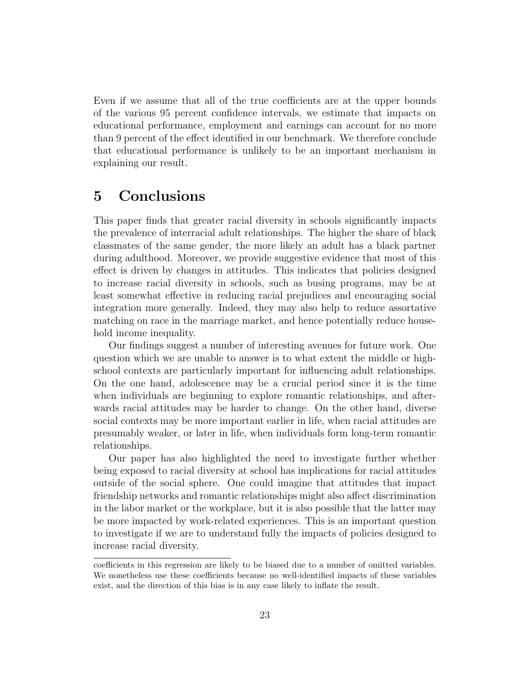Even if we assume that all of the true coefficients are at the upper bounds of the various 95 percent confidence intervals, we estimate that impacts on educational performance, employment and earnings can account for no more than 9 percent of the effect identified in our benchmark. We therefore conclude that educational performance is unlikely to be an important mechanism in explaining our result.

## 5 Conclusions

This paper finds that greater racial diversity in schools significantly impacts the prevalence of interracial adult relationships. The higher the share of black classmates of the same gender, the more likely an adult has a black partner during adulthood. Moreover, we provide suggestive evidence that most of this effect is driven by changes in attitudes. This indicates that policies designed to increase racial diversity in schools, such as busing programs, may be at least somewhat effective in reducing racial prejudices and encouraging social integration more generally. Indeed, they may also help to reduce assortative matching on race in the marriage market, and hence potentially reduce household income inequality.

Our findings suggest a number of interesting avenues for future work. One question which we are unable to answer is to what extent the middle or highschool contexts are particularly important for influencing adult relationships. On the one hand, adolescence may be a crucial period since it is the time when individuals are beginning to explore romantic relationships, and afterwards racial attitudes may be harder to change. On the other hand, diverse social contexts may be more important earlier in life, when racial attitudes are presumably weaker, or later in life, when individuals form long-term romantic relationships.

Our paper has also highlighted the need to investigate further whether being exposed to racial diversity at school has implications for racial attitudes outside of the social sphere. One could imagine that attitudes that impact friendship networks and romantic relationships might also affect discrimination in the labor market or the workplace, but it is also possible that the latter may be more impacted by work-related experiences. This is an important question to investigate if we are to understand fully the impacts of policies designed to increase racial diversity.

coefficients in this regression are likely to be biased due to a number of omitted variables. We nonetheless use these coefficients because no well-identified impacts of these variables exist, and the direction of this bias is in any case likely to inflate the result.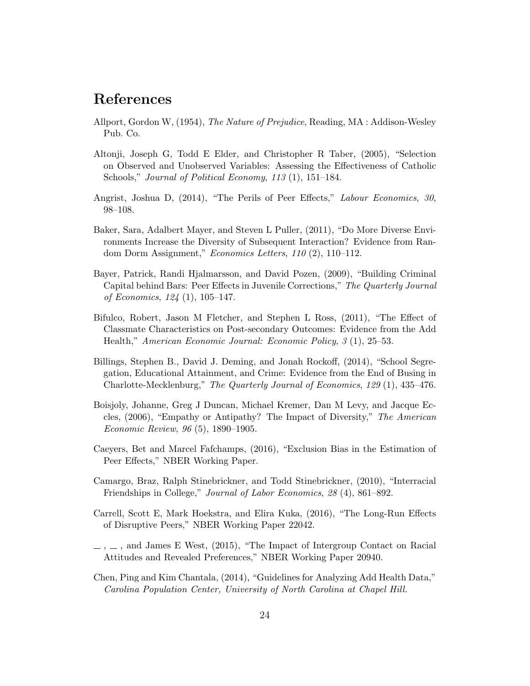# References

- Allport, Gordon W, (1954), The Nature of Prejudice, Reading, MA : Addison-Wesley Pub. Co.
- Altonji, Joseph G, Todd E Elder, and Christopher R Taber, (2005), "Selection on Observed and Unobserved Variables: Assessing the Effectiveness of Catholic Schools," *Journal of Political Economy, 113* (1), 151–184.
- Angrist, Joshua D, (2014), "The Perils of Peer Effects," Labour Economics, 30, 98–108.
- Baker, Sara, Adalbert Mayer, and Steven L Puller, (2011), "Do More Diverse Environments Increase the Diversity of Subsequent Interaction? Evidence from Random Dorm Assignment," Economics Letters, 110 (2), 110–112.
- Bayer, Patrick, Randi Hjalmarsson, and David Pozen, (2009), "Building Criminal Capital behind Bars: Peer Effects in Juvenile Corrections," The Quarterly Journal of Economics, 124 (1), 105–147.
- Bifulco, Robert, Jason M Fletcher, and Stephen L Ross, (2011), "The Effect of Classmate Characteristics on Post-secondary Outcomes: Evidence from the Add Health," American Economic Journal: Economic Policy, 3 (1), 25–53.
- Billings, Stephen B., David J. Deming, and Jonah Rockoff, (2014), "School Segregation, Educational Attainment, and Crime: Evidence from the End of Busing in Charlotte-Mecklenburg," The Quarterly Journal of Economics, 129 (1), 435–476.
- Boisjoly, Johanne, Greg J Duncan, Michael Kremer, Dan M Levy, and Jacque Eccles, (2006), "Empathy or Antipathy? The Impact of Diversity," The American Economic Review, 96 (5), 1890–1905.
- Caeyers, Bet and Marcel Fafchamps, (2016), "Exclusion Bias in the Estimation of Peer Effects," NBER Working Paper.
- Camargo, Braz, Ralph Stinebrickner, and Todd Stinebrickner, (2010), "Interracial Friendships in College," Journal of Labor Economics, 28 (4), 861–892.
- Carrell, Scott E, Mark Hoekstra, and Elira Kuka, (2016), "The Long-Run Effects of Disruptive Peers," NBER Working Paper 22042.
- $\ldots$ , and James E West, (2015), "The Impact of Intergroup Contact on Racial Attitudes and Revealed Preferences," NBER Working Paper 20940.
- Chen, Ping and Kim Chantala, (2014), "Guidelines for Analyzing Add Health Data," Carolina Population Center, University of North Carolina at Chapel Hill.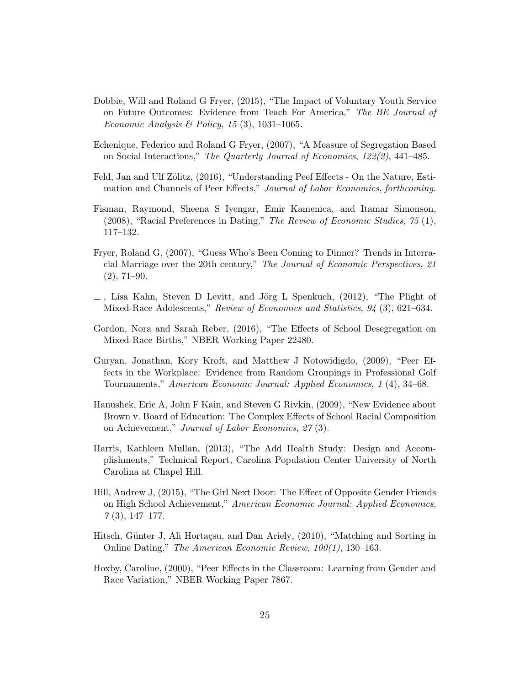- Dobbie, Will and Roland G Fryer, (2015), "The Impact of Voluntary Youth Service on Future Outcomes: Evidence from Teach For America," The BE Journal of Economic Analysis & Policy, 15 (3), 1031-1065.
- Echenique, Federico and Roland G Fryer, (2007), "A Measure of Segregation Based on Social Interactions," The Quarterly Journal of Economics, 122(2), 441–485.
- Feld, Jan and Ulf Zölitz, (2016), "Understanding Peef Effects On the Nature, Estimation and Channels of Peer Effects," Journal of Labor Economics, forthcoming.
- Fisman, Raymond, Sheena S Iyengar, Emir Kamenica, and Itamar Simonson, (2008), "Racial Preferences in Dating," The Review of Economic Studies, 75 (1), 117–132.
- Fryer, Roland G, (2007), "Guess Who's Been Coming to Dinner? Trends in Interracial Marriage over the 20th century," The Journal of Economic Perspectives, 21  $(2), 71-90.$
- $\bot$ , Lisa Kahn, Steven D Levitt, and Jörg L Spenkuch, (2012), "The Plight of Mixed-Race Adolescents," Review of Economics and Statistics, 94 (3), 621–634.
- Gordon, Nora and Sarah Reber, (2016), "The Effects of School Desegregation on Mixed-Race Births," NBER Working Paper 22480.
- Guryan, Jonathan, Kory Kroft, and Matthew J Notowidigdo, (2009), "Peer Effects in the Workplace: Evidence from Random Groupings in Professional Golf Tournaments," American Economic Journal: Applied Economics, 1 (4), 34–68.
- Hanushek, Eric A, John F Kain, and Steven G Rivkin, (2009), "New Evidence about Brown v. Board of Education: The Complex Effects of School Racial Composition on Achievement," Journal of Labor Economics, 27 (3).
- Harris, Kathleen Mullan, (2013), "The Add Health Study: Design and Accomplishments," Technical Report, Carolina Population Center University of North Carolina at Chapel Hill.
- Hill, Andrew J, (2015), "The Girl Next Door: The Effect of Opposite Gender Friends on High School Achievement," American Economic Journal: Applied Economics,  $7(3), 147-177.$
- Hitsch, Günter J, Ali Hortaçsu, and Dan Ariely, (2010), "Matching and Sorting in Online Dating," The American Economic Review, 100(1), 130–163.
- Hoxby, Caroline, (2000), "Peer Effects in the Classroom: Learning from Gender and Race Variation," NBER Working Paper 7867.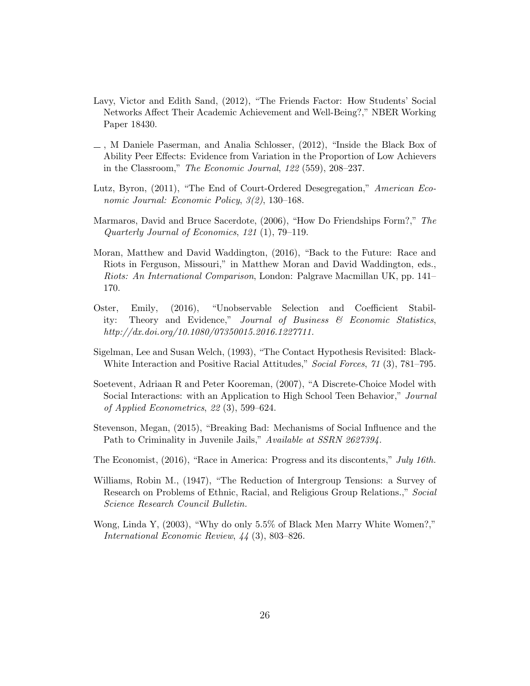- Lavy, Victor and Edith Sand, (2012), "The Friends Factor: How Students' Social Networks Affect Their Academic Achievement and Well-Being?," NBER Working Paper 18430.
- $\Box$ , M Daniele Paserman, and Analia Schlosser, (2012), "Inside the Black Box of Ability Peer Effects: Evidence from Variation in the Proportion of Low Achievers in the Classroom," The Economic Journal, 122 (559), 208–237.
- Lutz, Byron, (2011), "The End of Court-Ordered Desegregation," American Economic Journal: Economic Policy, 3(2), 130–168.
- Marmaros, David and Bruce Sacerdote, (2006), "How Do Friendships Form?," The Quarterly Journal of Economics, 121 (1), 79–119.
- Moran, Matthew and David Waddington, (2016), "Back to the Future: Race and Riots in Ferguson, Missouri," in Matthew Moran and David Waddington, eds., Riots: An International Comparison, London: Palgrave Macmillan UK, pp. 141– 170.
- Oster, Emily, (2016), "Unobservable Selection and Coefficient Stability: Theory and Evidence," Journal of Business & Economic Statistics, http://dx.doi.org/10.1080/07350015.2016.1227711.
- Sigelman, Lee and Susan Welch, (1993), "The Contact Hypothesis Revisited: Black-White Interaction and Positive Racial Attitudes," Social Forces, 71 (3), 781–795.
- Soetevent, Adriaan R and Peter Kooreman, (2007), "A Discrete-Choice Model with Social Interactions: with an Application to High School Teen Behavior," Journal of Applied Econometrics, 22 (3), 599–624.
- Stevenson, Megan, (2015), "Breaking Bad: Mechanisms of Social Influence and the Path to Criminality in Juvenile Jails," Available at SSRN 2627394.
- The Economist, (2016), "Race in America: Progress and its discontents," July 16th.
- Williams, Robin M., (1947), "The Reduction of Intergroup Tensions: a Survey of Research on Problems of Ethnic, Racial, and Religious Group Relations.," Social Science Research Council Bulletin.
- Wong, Linda Y, (2003), "Why do only 5.5% of Black Men Marry White Women?," International Economic Review, 44 (3), 803–826.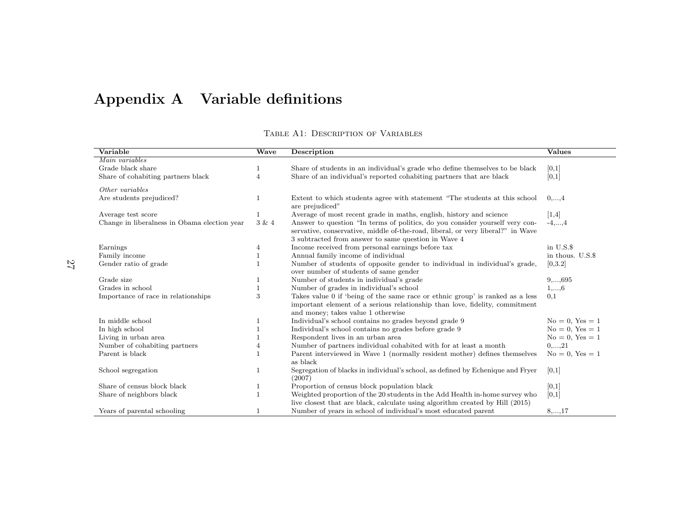# Appendix A Variable definitions

| TABLE A1: DESCRIPTION OF VARIABLES |  |
|------------------------------------|--|

| Variable                                     | Wave           | Description                                                                                                                                                                                        | <b>Values</b>        |
|----------------------------------------------|----------------|----------------------------------------------------------------------------------------------------------------------------------------------------------------------------------------------------|----------------------|
| Main variables                               |                |                                                                                                                                                                                                    |                      |
| Grade black share                            |                | Share of students in an individual's grade who define themselves to be black                                                                                                                       | [0,1]                |
| Share of cohabiting partners black           | $\overline{4}$ | Share of an individual's reported cohabiting partners that are black                                                                                                                               | [0,1]                |
| Other variables                              |                |                                                                                                                                                                                                    |                      |
| Are students prejudiced?                     | 1              | Extent to which students agree with statement "The students at this school<br>are prejudiced"                                                                                                      | $0, \ldots, 4$       |
| Average test score                           |                | Average of most recent grade in maths, english, history and science                                                                                                                                | [1,4]                |
| Change in liberalness in Obama election year | $3\ \&\ 4$     | Answer to question "In terms of politics, do you consider yourself very con-                                                                                                                       | $-4, \ldots, 4$      |
|                                              |                | servative, conservative, middle of-the-road, liberal, or very liberal?" in Wave<br>3 subtracted from answer to same question in Wave 4                                                             |                      |
| Earnings                                     | 4              | Income received from personal earnings before tax                                                                                                                                                  | in U.S.\$            |
| Family income                                | 1              | Annual family income of individual                                                                                                                                                                 | in thous. U.S.\$     |
| Gender ratio of grade                        |                | Number of students of opposite gender to individual in individual's grade,<br>over number of students of same gender                                                                               | [0,3.2]              |
| Grade size                                   |                | Number of students in individual's grade                                                                                                                                                           | $9, \ldots, 695$     |
| Grades in school                             |                | Number of grades in individual's school                                                                                                                                                            | $1, \ldots, 6$       |
| Importance of race in relationships          | 3              | Takes value 0 if 'being of the same race or ethnic group' is ranked as a less<br>important element of a serious relationship than love, fidelity, commitment<br>and money; takes value 1 otherwise | 0,1                  |
| In middle school                             | 1              | Individual's school contains no grades beyond grade 9                                                                                                                                              | $No = 0$ , $Yes = 1$ |
| In high school                               |                | Individual's school contains no grades before grade 9                                                                                                                                              | $No = 0$ , $Yes = 1$ |
| Living in urban area                         |                | Respondent lives in an urban area                                                                                                                                                                  | $No = 0$ , $Yes = 1$ |
| Number of cohabiting partners                | $\overline{4}$ | Number of partners individual cohabited with for at least a month                                                                                                                                  | $0, \ldots, 21$      |
| Parent is black                              |                | Parent interviewed in Wave 1 (normally resident mother) defines themselves<br>as black                                                                                                             | $No = 0$ , $Yes = 1$ |
| School segregation                           | 1              | Segregation of blacks in individual's school, as defined by Echenique and Fryer<br>(2007)                                                                                                          | [0,1]                |
| Share of census block black                  | 1              | Proportion of census block population black                                                                                                                                                        | [0,1]                |
| Share of neighbors black                     | $\mathbf{1}$   | Weighted proportion of the 20 students in the Add Health in-home survey who                                                                                                                        | [0,1]                |
|                                              |                | live closest that are black, calculate using algorithm created by Hill (2015)                                                                                                                      |                      |
| Years of parental schooling                  | $\mathbf{1}$   | Number of years in school of individual's most educated parent                                                                                                                                     | $8, \ldots, 17$      |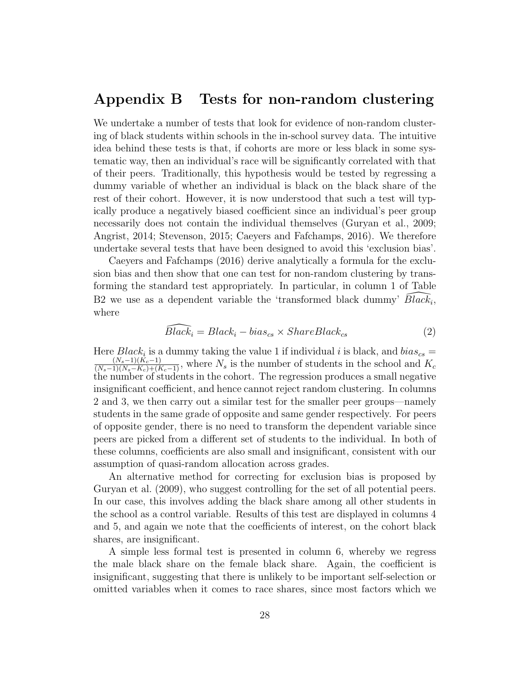### Appendix B Tests for non-random clustering

We undertake a number of tests that look for evidence of non-random clustering of black students within schools in the in-school survey data. The intuitive idea behind these tests is that, if cohorts are more or less black in some systematic way, then an individual's race will be significantly correlated with that of their peers. Traditionally, this hypothesis would be tested by regressing a dummy variable of whether an individual is black on the black share of the rest of their cohort. However, it is now understood that such a test will typically produce a negatively biased coefficient since an individual's peer group necessarily does not contain the individual themselves (Guryan et al., 2009; Angrist, 2014; Stevenson, 2015; Caeyers and Fafchamps, 2016). We therefore undertake several tests that have been designed to avoid this 'exclusion bias'.

Caeyers and Fafchamps (2016) derive analytically a formula for the exclusion bias and then show that one can test for non-random clustering by transforming the standard test appropriately. In particular, in column 1 of Table B2 we use as a dependent variable the 'transformed black dummy'  $\widehat{Black_i}$ , where

$$
\widehat{Black_i} = Black_i - bias_{cs} \times ShareBlack_{cs}
$$
 (2)

Here  $Black_i$  is a dummy taking the value 1 if individual i is black, and  $bias_{cs} =$  $\frac{(N_s-1)(K_c-1)}{(N_s-1)(N_s-K_c)+(K_c-1)}$ , where  $N_s$  is the number of students in the school and  $K_c$ the number of students in the cohort. The regression produces a small negative insignificant coefficient, and hence cannot reject random clustering. In columns 2 and 3, we then carry out a similar test for the smaller peer groups—namely students in the same grade of opposite and same gender respectively. For peers of opposite gender, there is no need to transform the dependent variable since peers are picked from a different set of students to the individual. In both of these columns, coefficients are also small and insignificant, consistent with our assumption of quasi-random allocation across grades.

An alternative method for correcting for exclusion bias is proposed by Guryan et al. (2009), who suggest controlling for the set of all potential peers. In our case, this involves adding the black share among all other students in the school as a control variable. Results of this test are displayed in columns 4 and 5, and again we note that the coefficients of interest, on the cohort black shares, are insignificant.

A simple less formal test is presented in column 6, whereby we regress the male black share on the female black share. Again, the coefficient is insignificant, suggesting that there is unlikely to be important self-selection or omitted variables when it comes to race shares, since most factors which we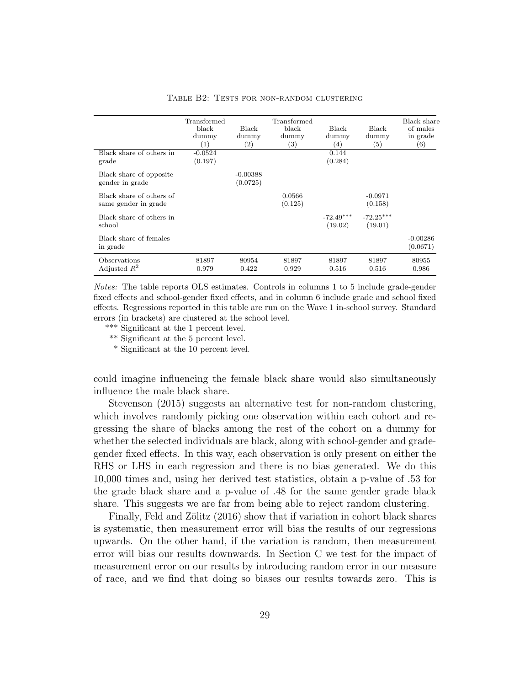|                                                  | Transformed<br>black<br>dummy<br>(1) | <b>Black</b><br>dummy<br>$\left( 2\right)$ | Transformed<br>black<br>dummy<br>$\left( 3\right)$ | <b>Black</b><br>dummy<br>(4) | <b>Black</b><br>dummy<br>$\left( 5\right)$ | Black share<br>of males<br>in grade<br>(6) |
|--------------------------------------------------|--------------------------------------|--------------------------------------------|----------------------------------------------------|------------------------------|--------------------------------------------|--------------------------------------------|
| Black share of others in<br>grade                | $-0.0524$<br>(0.197)                 |                                            |                                                    | 0.144<br>(0.284)             |                                            |                                            |
| Black share of opposite<br>gender in grade       |                                      | $-0.00388$<br>(0.0725)                     |                                                    |                              |                                            |                                            |
| Black share of others of<br>same gender in grade |                                      |                                            | 0.0566<br>(0.125)                                  |                              | $-0.0971$<br>(0.158)                       |                                            |
| Black share of others in<br>school               |                                      |                                            |                                                    | $-72.49***$<br>(19.02)       | $-72.25***$<br>(19.01)                     |                                            |
| Black share of females<br>in grade               |                                      |                                            |                                                    |                              |                                            | $-0.00286$<br>(0.0671)                     |
| Observations<br>Adjusted $R^2$                   | 81897<br>0.979                       | 80954<br>0.422                             | 81897<br>0.929                                     | 81897<br>0.516               | 81897<br>0.516                             | 80955<br>0.986                             |

#### TABLE B2: TESTS FOR NON-RANDOM CLUSTERING

Notes: The table reports OLS estimates. Controls in columns 1 to 5 include grade-gender fixed effects and school-gender fixed effects, and in column 6 include grade and school fixed effects. Regressions reported in this table are run on the Wave 1 in-school survey. Standard errors (in brackets) are clustered at the school level.

\*\*\* Significant at the 1 percent level.

\*\* Significant at the 5 percent level.

\* Significant at the 10 percent level.

could imagine influencing the female black share would also simultaneously influence the male black share.

Stevenson (2015) suggests an alternative test for non-random clustering, which involves randomly picking one observation within each cohort and regressing the share of blacks among the rest of the cohort on a dummy for whether the selected individuals are black, along with school-gender and gradegender fixed effects. In this way, each observation is only present on either the RHS or LHS in each regression and there is no bias generated. We do this 10,000 times and, using her derived test statistics, obtain a p-value of .53 for the grade black share and a p-value of .48 for the same gender grade black share. This suggests we are far from being able to reject random clustering.

Finally, Feld and Zölitz  $(2016)$  show that if variation in cohort black shares is systematic, then measurement error will bias the results of our regressions upwards. On the other hand, if the variation is random, then measurement error will bias our results downwards. In Section C we test for the impact of measurement error on our results by introducing random error in our measure of race, and we find that doing so biases our results towards zero. This is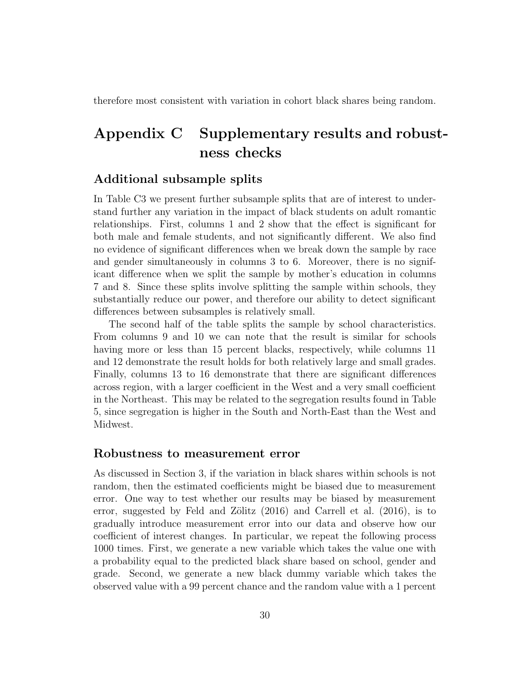therefore most consistent with variation in cohort black shares being random.

# Appendix C Supplementary results and robustness checks

#### Additional subsample splits

In Table C3 we present further subsample splits that are of interest to understand further any variation in the impact of black students on adult romantic relationships. First, columns 1 and 2 show that the effect is significant for both male and female students, and not significantly different. We also find no evidence of significant differences when we break down the sample by race and gender simultaneously in columns 3 to 6. Moreover, there is no significant difference when we split the sample by mother's education in columns 7 and 8. Since these splits involve splitting the sample within schools, they substantially reduce our power, and therefore our ability to detect significant differences between subsamples is relatively small.

The second half of the table splits the sample by school characteristics. From columns 9 and 10 we can note that the result is similar for schools having more or less than 15 percent blacks, respectively, while columns 11 and 12 demonstrate the result holds for both relatively large and small grades. Finally, columns 13 to 16 demonstrate that there are significant differences across region, with a larger coefficient in the West and a very small coefficient in the Northeast. This may be related to the segregation results found in Table 5, since segregation is higher in the South and North-East than the West and Midwest.

#### Robustness to measurement error

As discussed in Section 3, if the variation in black shares within schools is not random, then the estimated coefficients might be biased due to measurement error. One way to test whether our results may be biased by measurement error, suggested by Feld and Zölitz  $(2016)$  and Carrell et al.  $(2016)$ , is to gradually introduce measurement error into our data and observe how our coefficient of interest changes. In particular, we repeat the following process 1000 times. First, we generate a new variable which takes the value one with a probability equal to the predicted black share based on school, gender and grade. Second, we generate a new black dummy variable which takes the observed value with a 99 percent chance and the random value with a 1 percent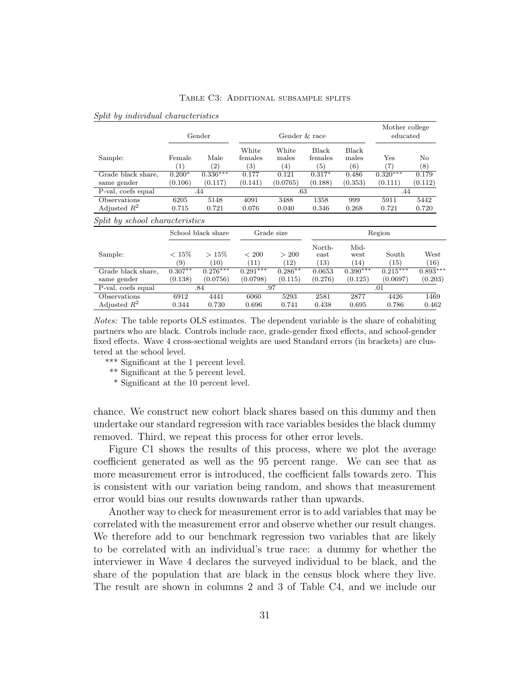|                                 |                            | Gender                    | Gender & race                         |                       |                         |                              | Mother college<br>educated |              |
|---------------------------------|----------------------------|---------------------------|---------------------------------------|-----------------------|-------------------------|------------------------------|----------------------------|--------------|
| Sample:                         | Female<br>$\left(1\right)$ | Male<br>$\left( 2\right)$ | White<br>females<br>$\left( 3\right)$ | White<br>males<br>(4) | Black<br>females<br>(5) | <b>Black</b><br>males<br>(6) | Yes<br>$\left( 7\right)$   | No<br>(8)    |
| Grade black share,              | $0.200*$                   | $0.336***$                | 0.177                                 | 0.121                 | $0.317*$                | 0.486                        | $0.320***$                 | 0.179        |
| same gender                     | (0.106)                    | (0.117)                   | (0.141)                               | (0.0765)              | (0.188)                 | (0.353)                      | (0.111)                    | (0.112)      |
| P-val, coefs equal              |                            | .44                       | .63                                   |                       |                         |                              | .44                        |              |
| Observations                    | 6205                       | 5148                      | 4091                                  | 3488                  | 1358                    | 999                          | 5911                       | 5442         |
| Adjusted $R^2$                  | 0.715                      | 0.721                     | 0.076                                 | 0.040                 | 0.346                   | 0.268                        | 0.721                      | 0.720        |
| Split by school characteristics |                            |                           |                                       |                       |                         |                              |                            |              |
|                                 |                            | School black share        | Grade size                            |                       |                         | Region                       |                            |              |
| Sample:                         | $< 15\%$<br>(9)            | $>15\%$<br>(10)           | ${}< 200$<br>(11)                     | > 200<br>(12)         | North-<br>east<br>(13)  | Mid-<br>west<br>(14)         | South<br>(15)              | West<br>(16) |
| Grade black share,              | $0.307**$                  | $0.276***$                | $0.291***$                            | $0.286**$             | 0.0653                  | $0.390***$                   | $0.215***$                 | $0.893***$   |
| same gender                     | (0.138)                    | (0.0756)                  | (0.0798)                              | (0.115)               | (0.276)                 | (0.125)                      | (0.0697)                   | (0.203)      |
| P-val, coefs equal              | .84                        |                           | .97                                   |                       |                         | .01                          |                            |              |
| Observations                    | 6912                       | 4441                      | 6060                                  | 5293                  | 2581                    | 2877                         | 4426                       | 1469         |
| Adjusted $R^2$                  | 0.344                      | 0.730                     | 0.696                                 | 0.741                 | 0.438                   | 0.695                        | 0.786                      | 0.462        |

#### Split by individual characteristics

Notes: The table reports OLS estimates. The dependent variable is the share of cohabiting partners who are black. Controls include race, grade-gender fixed effects, and school-gender fixed effects. Wave 4 cross-sectional weights are used Standard errors (in brackets) are clustered at the school level.

- \*\*\* Significant at the 1 percent level.
- \*\* Significant at the 5 percent level.
- \* Significant at the 10 percent level.

chance. We construct new cohort black shares based on this dummy and then undertake our standard regression with race variables besides the black dummy removed. Third, we repeat this process for other error levels.

Figure C1 shows the results of this process, where we plot the average coefficient generated as well as the 95 percent range. We can see that as more measurement error is introduced, the coefficient falls towards zero. This is consistent with our variation being random, and shows that measurement error would bias our results downwards rather than upwards.

Another way to check for measurement error is to add variables that may be correlated with the measurement error and observe whether our result changes. We therefore add to our benchmark regression two variables that are likely to be correlated with an individual's true race: a dummy for whether the interviewer in Wave 4 declares the surveyed individual to be black, and the share of the population that are black in the census block where they live. The result are shown in columns 2 and 3 of Table C4, and we include our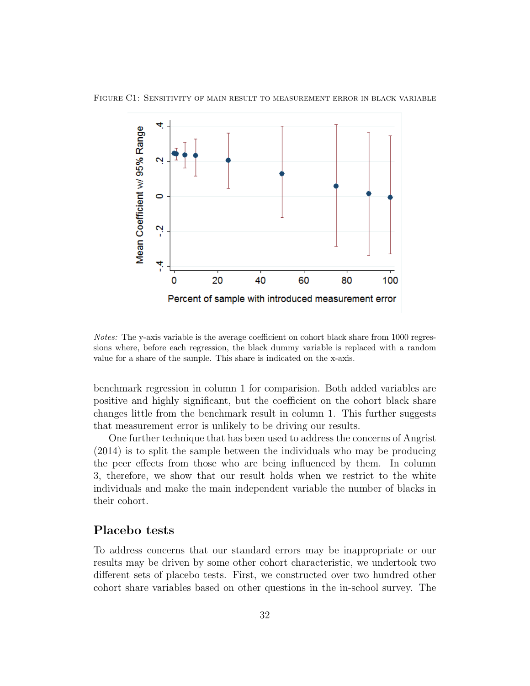

Figure C1: Sensitivity of main result to measurement error in black variable

Notes: The y-axis variable is the average coefficient on cohort black share from 1000 regressions where, before each regression, the black dummy variable is replaced with a random value for a share of the sample. This share is indicated on the x-axis.

benchmark regression in column 1 for comparision. Both added variables are positive and highly significant, but the coefficient on the cohort black share changes little from the benchmark result in column 1. This further suggests that measurement error is unlikely to be driving our results.

One further technique that has been used to address the concerns of Angrist (2014) is to split the sample between the individuals who may be producing the peer effects from those who are being influenced by them. In column 3, therefore, we show that our result holds when we restrict to the white individuals and make the main independent variable the number of blacks in their cohort.

#### Placebo tests

To address concerns that our standard errors may be inappropriate or our results may be driven by some other cohort characteristic, we undertook two different sets of placebo tests. First, we constructed over two hundred other cohort share variables based on other questions in the in-school survey. The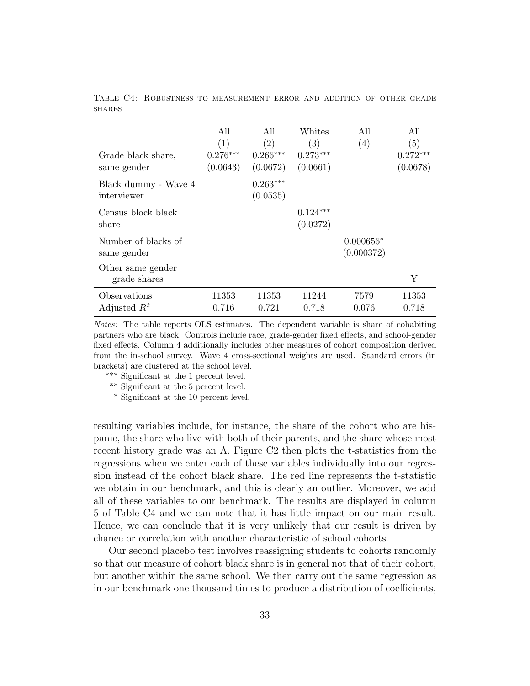|                      | All        | All               | Whites            | All         | All        |
|----------------------|------------|-------------------|-------------------|-------------|------------|
|                      | (1)        | $\left( 2\right)$ | $\left( 3\right)$ | (4)         | (5)        |
| Grade black share,   | $0.276***$ | $0.266***$        | $0.273***$        |             | $0.272***$ |
| same gender          | (0.0643)   | (0.0672)          | (0.0661)          |             | (0.0678)   |
| Black dummy - Wave 4 |            | $0.263***$        |                   |             |            |
| interviewer          |            | (0.0535)          |                   |             |            |
| Census block black   |            |                   | $0.124***$        |             |            |
| share                |            |                   | (0.0272)          |             |            |
| Number of blacks of  |            |                   |                   | $0.000656*$ |            |
| same gender          |            |                   |                   | (0.000372)  |            |
| Other same gender    |            |                   |                   |             |            |
| grade shares         |            |                   |                   |             | Υ          |
| Observations         | 11353      | 11353             | 11244             | 7579        | 11353      |
| Adjusted $R^2$       | 0.716      | 0.721             | 0.718             | 0.076       | 0.718      |

Table C4: Robustness to measurement error and addition of other grade **SHARES** 

Notes: The table reports OLS estimates. The dependent variable is share of cohabiting partners who are black. Controls include race, grade-gender fixed effects, and school-gender fixed effects. Column 4 additionally includes other measures of cohort composition derived from the in-school survey. Wave 4 cross-sectional weights are used. Standard errors (in brackets) are clustered at the school level.

\*\*\* Significant at the 1 percent level.

\*\* Significant at the 5 percent level.

\* Significant at the 10 percent level.

resulting variables include, for instance, the share of the cohort who are hispanic, the share who live with both of their parents, and the share whose most recent history grade was an A. Figure C2 then plots the t-statistics from the regressions when we enter each of these variables individually into our regression instead of the cohort black share. The red line represents the t-statistic we obtain in our benchmark, and this is clearly an outlier. Moreover, we add all of these variables to our benchmark. The results are displayed in column 5 of Table C4 and we can note that it has little impact on our main result. Hence, we can conclude that it is very unlikely that our result is driven by chance or correlation with another characteristic of school cohorts.

Our second placebo test involves reassigning students to cohorts randomly so that our measure of cohort black share is in general not that of their cohort, but another within the same school. We then carry out the same regression as in our benchmark one thousand times to produce a distribution of coefficients,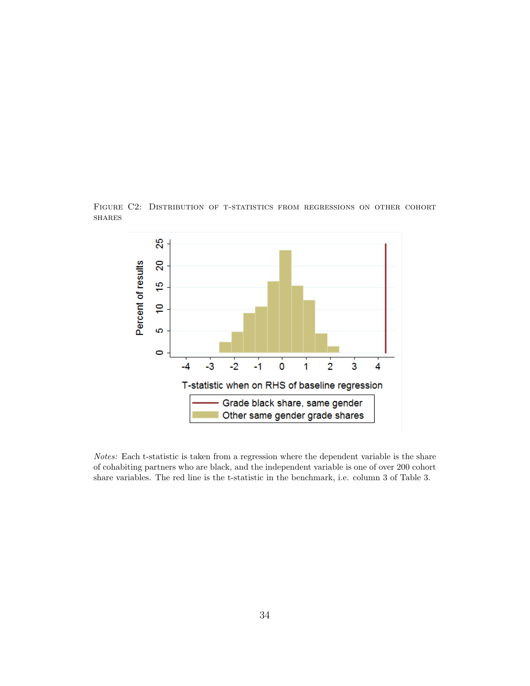

Figure C2: Distribution of t-statistics from regressions on other cohort **SHARES** 

Notes: Each t-statistic is taken from a regression where the dependent variable is the share of cohabiting partners who are black, and the independent variable is one of over 200 cohort share variables. The red line is the t-statistic in the benchmark, i.e. column 3 of Table 3.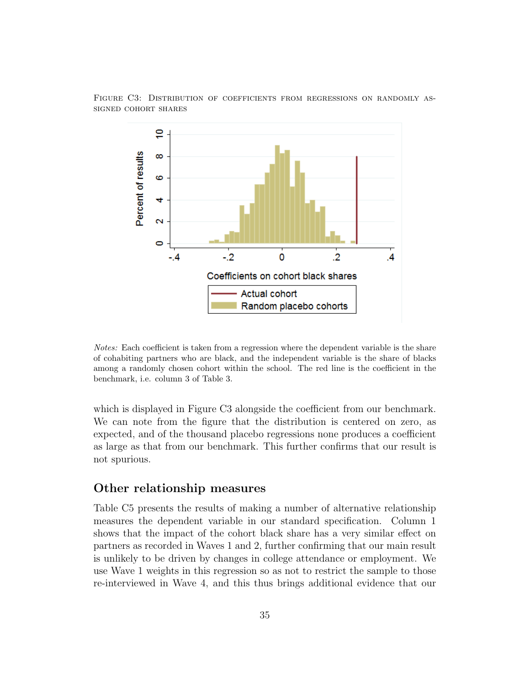

Figure C3: Distribution of coefficients from regressions on randomly assigned cohort shares

Notes: Each coefficient is taken from a regression where the dependent variable is the share of cohabiting partners who are black, and the independent variable is the share of blacks among a randomly chosen cohort within the school. The red line is the coefficient in the benchmark, i.e. column 3 of Table 3.

which is displayed in Figure C3 alongside the coefficient from our benchmark. We can note from the figure that the distribution is centered on zero, as expected, and of the thousand placebo regressions none produces a coefficient as large as that from our benchmark. This further confirms that our result is not spurious.

#### Other relationship measures

Table C5 presents the results of making a number of alternative relationship measures the dependent variable in our standard specification. Column 1 shows that the impact of the cohort black share has a very similar effect on partners as recorded in Waves 1 and 2, further confirming that our main result is unlikely to be driven by changes in college attendance or employment. We use Wave 1 weights in this regression so as not to restrict the sample to those re-interviewed in Wave 4, and this thus brings additional evidence that our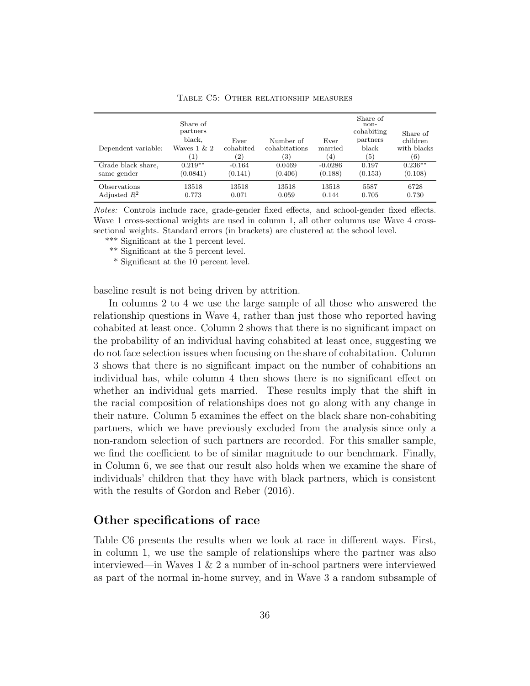| Dependent variable:<br>Grade black share,<br>same gender | Share of<br>partners<br>black,<br>Waves $1 \& 2$<br>$\left(1\right)$<br>$0.219**$<br>(0.0841) | Ever<br>cohabited<br>$\left( 2\right)$<br>$-0.164$<br>(0.141) | Number of<br>cohabitations<br>3)<br>0.0469<br>(0.406) | Ever<br>married<br>(4)<br>$-0.0286$<br>(0.188) | Share of<br>non-<br>cohabiting<br>partners<br>black<br>(5)<br>0.197<br>(0.153) | Share of<br>children<br>with blacks<br>(6)<br>$0.236**$<br>(0.108) |
|----------------------------------------------------------|-----------------------------------------------------------------------------------------------|---------------------------------------------------------------|-------------------------------------------------------|------------------------------------------------|--------------------------------------------------------------------------------|--------------------------------------------------------------------|
| Observations                                             | 13518                                                                                         | 13518                                                         | 13518                                                 | 13518                                          | 5587                                                                           | 6728                                                               |
| Adjusted $R^2$                                           | 0.773                                                                                         | 0.071                                                         | 0.059                                                 | 0.144                                          | 0.705                                                                          | 0.730                                                              |

Table C5: Other relationship measures

Notes: Controls include race, grade-gender fixed effects, and school-gender fixed effects. Wave 1 cross-sectional weights are used in column 1, all other columns use Wave 4 crosssectional weights. Standard errors (in brackets) are clustered at the school level.

\*\*\* Significant at the 1 percent level.

\*\* Significant at the 5 percent level.

\* Significant at the 10 percent level.

baseline result is not being driven by attrition.

In columns 2 to 4 we use the large sample of all those who answered the relationship questions in Wave 4, rather than just those who reported having cohabited at least once. Column 2 shows that there is no significant impact on the probability of an individual having cohabited at least once, suggesting we do not face selection issues when focusing on the share of cohabitation. Column 3 shows that there is no significant impact on the number of cohabitions an individual has, while column 4 then shows there is no significant effect on whether an individual gets married. These results imply that the shift in the racial composition of relationships does not go along with any change in their nature. Column 5 examines the effect on the black share non-cohabiting partners, which we have previously excluded from the analysis since only a non-random selection of such partners are recorded. For this smaller sample, we find the coefficient to be of similar magnitude to our benchmark. Finally, in Column 6, we see that our result also holds when we examine the share of individuals' children that they have with black partners, which is consistent with the results of Gordon and Reber (2016).

#### Other specifications of race

Table C6 presents the results when we look at race in different ways. First, in column 1, we use the sample of relationships where the partner was also interviewed—in Waves  $1 \& 2$  a number of in-school partners were interviewed as part of the normal in-home survey, and in Wave 3 a random subsample of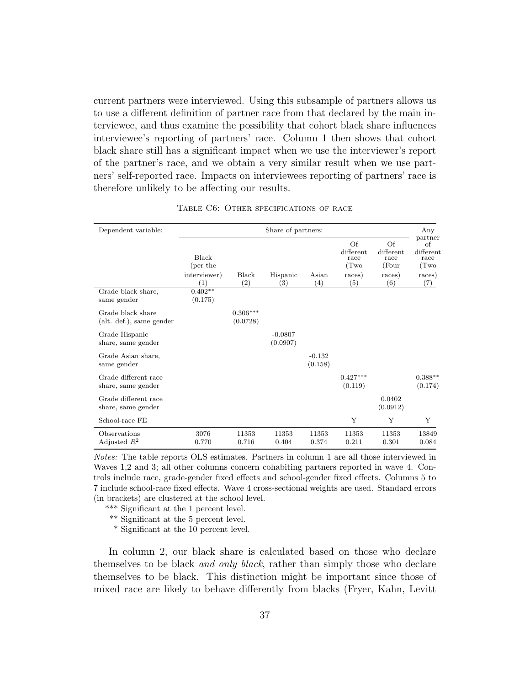current partners were interviewed. Using this subsample of partners allows us to use a different definition of partner race from that declared by the main interviewee, and thus examine the possibility that cohort black share influences interviewee's reporting of partners' race. Column 1 then shows that cohort black share still has a significant impact when we use the interviewer's report of the partner's race, and we obtain a very similar result when we use partners' self-reported race. Impacts on interviewees reporting of partners' race is therefore unlikely to be affecting our results.

| Dependent variable:                           | Share of partners:                |                        |                       |                     |                                |                                  |                                           |
|-----------------------------------------------|-----------------------------------|------------------------|-----------------------|---------------------|--------------------------------|----------------------------------|-------------------------------------------|
|                                               | Black<br>(per the                 |                        |                       |                     | Of<br>different<br>race<br>(Tw | Of<br>different<br>race<br>(Four | partner<br>of<br>different<br>race<br>(Tw |
|                                               | interviewer)<br>$\left( 1\right)$ | Black<br>(2)           | Hispanic<br>(3)       | Asian<br>(4)        | races)<br>(5)                  | races)<br>(6)                    | races)<br>(7)                             |
| Grade black share,<br>same gender             | $0.402**$<br>(0.175)              |                        |                       |                     |                                |                                  |                                           |
| Grade black share<br>(alt. def.), same gender |                                   | $0.306***$<br>(0.0728) |                       |                     |                                |                                  |                                           |
| Grade Hispanic<br>share, same gender          |                                   |                        | $-0.0807$<br>(0.0907) |                     |                                |                                  |                                           |
| Grade Asian share,<br>same gender             |                                   |                        |                       | $-0.132$<br>(0.158) |                                |                                  |                                           |
| Grade different race<br>share, same gender    |                                   |                        |                       |                     | $0.427***$<br>(0.119)          |                                  | $0.388**$<br>(0.174)                      |
| Grade different race<br>share, same gender    |                                   |                        |                       |                     |                                | 0.0402<br>(0.0912)               |                                           |
| School-race FE                                |                                   |                        |                       |                     | Y                              | Y                                | Υ                                         |
| Observations<br>Adjusted $R^2$                | 3076<br>0.770                     | 11353<br>0.716         | 11353<br>0.404        | 11353<br>0.374      | 11353<br>0.211                 | 11353<br>0.301                   | 13849<br>0.084                            |

TABLE C6: OTHER SPECIFICATIONS OF RACE

Notes: The table reports OLS estimates. Partners in column 1 are all those interviewed in Waves 1,2 and 3; all other columns concern cohabiting partners reported in wave 4. Controls include race, grade-gender fixed effects and school-gender fixed effects. Columns 5 to 7 include school-race fixed effects. Wave 4 cross-sectional weights are used. Standard errors (in brackets) are clustered at the school level.

\*\*\* Significant at the 1 percent level.

- \*\* Significant at the 5 percent level.
- \* Significant at the 10 percent level.

In column 2, our black share is calculated based on those who declare themselves to be black and only black, rather than simply those who declare themselves to be black. This distinction might be important since those of mixed race are likely to behave differently from blacks (Fryer, Kahn, Levitt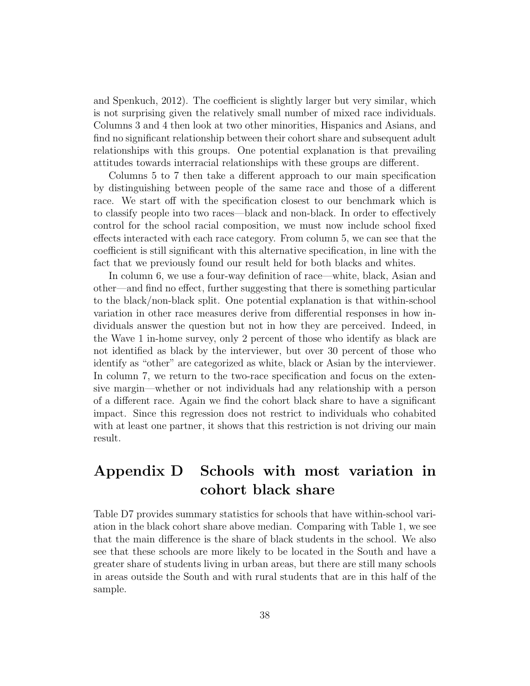and Spenkuch, 2012). The coefficient is slightly larger but very similar, which is not surprising given the relatively small number of mixed race individuals. Columns 3 and 4 then look at two other minorities, Hispanics and Asians, and find no significant relationship between their cohort share and subsequent adult relationships with this groups. One potential explanation is that prevailing attitudes towards interracial relationships with these groups are different.

Columns 5 to 7 then take a different approach to our main specification by distinguishing between people of the same race and those of a different race. We start off with the specification closest to our benchmark which is to classify people into two races—black and non-black. In order to effectively control for the school racial composition, we must now include school fixed effects interacted with each race category. From column 5, we can see that the coefficient is still significant with this alternative specification, in line with the fact that we previously found our result held for both blacks and whites.

In column 6, we use a four-way definition of race—white, black, Asian and other—and find no effect, further suggesting that there is something particular to the black/non-black split. One potential explanation is that within-school variation in other race measures derive from differential responses in how individuals answer the question but not in how they are perceived. Indeed, in the Wave 1 in-home survey, only 2 percent of those who identify as black are not identified as black by the interviewer, but over 30 percent of those who identify as "other" are categorized as white, black or Asian by the interviewer. In column 7, we return to the two-race specification and focus on the extensive margin—whether or not individuals had any relationship with a person of a different race. Again we find the cohort black share to have a significant impact. Since this regression does not restrict to individuals who cohabited with at least one partner, it shows that this restriction is not driving our main result.

# Appendix D Schools with most variation in cohort black share

Table D7 provides summary statistics for schools that have within-school variation in the black cohort share above median. Comparing with Table 1, we see that the main difference is the share of black students in the school. We also see that these schools are more likely to be located in the South and have a greater share of students living in urban areas, but there are still many schools in areas outside the South and with rural students that are in this half of the sample.